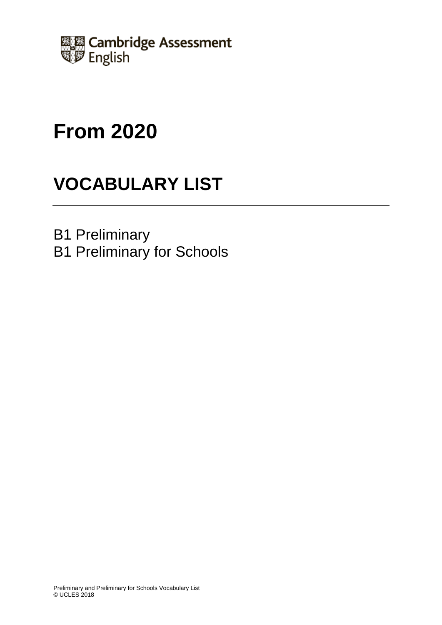

# **From 2020**

# **VOCABULARY LIST**

B1 Preliminary B1 Preliminary for Schools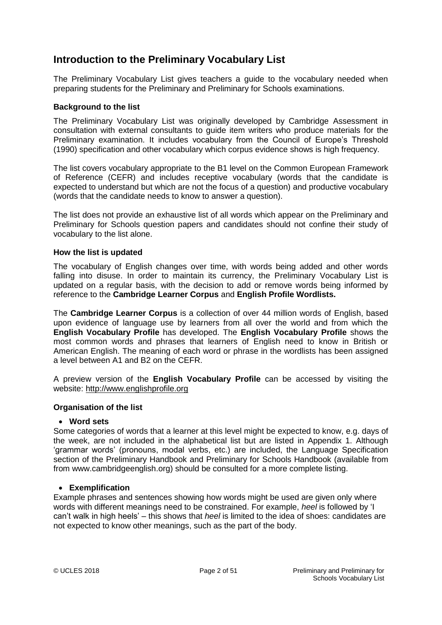### **Introduction to the Preliminary Vocabulary List**

The Preliminary Vocabulary List gives teachers a guide to the vocabulary needed when preparing students for the Preliminary and Preliminary for Schools examinations.

### **Background to the list**

The Preliminary Vocabulary List was originally developed by Cambridge Assessment in consultation with external consultants to guide item writers who produce materials for the Preliminary examination. It includes vocabulary from the Council of Europe's Threshold (1990) specification and other vocabulary which corpus evidence shows is high frequency.

The list covers vocabulary appropriate to the B1 level on the Common European Framework of Reference (CEFR) and includes receptive vocabulary (words that the candidate is expected to understand but which are not the focus of a question) and productive vocabulary (words that the candidate needs to know to answer a question).

The list does not provide an exhaustive list of all words which appear on the Preliminary and Preliminary for Schools question papers and candidates should not confine their study of vocabulary to the list alone.

### **How the list is updated**

The vocabulary of English changes over time, with words being added and other words falling into disuse. In order to maintain its currency, the Preliminary Vocabulary List is updated on a regular basis, with the decision to add or remove words being informed by reference to the **Cambridge Learner Corpus** and **English Profile Wordlists.**

The **Cambridge Learner Corpus** is a collection of over 44 million words of English, based upon evidence of language use by learners from all over the world and from which the **English Vocabulary Profile** has developed. The **English Vocabulary Profile** shows the most common words and phrases that learners of English need to know in British or American English. The meaning of each word or phrase in the wordlists has been assigned a level between A1 and B2 on the CEFR.

A preview version of the **English Vocabulary Profile** can be accessed by visiting the website: [http://www.englishprofile.org](http://www.englishprofile.org/)

### **Organisation of the list**

### **Word sets**

Some categories of words that a learner at this level might be expected to know, e.g. days of the week, are not included in the alphabetical list but are listed in Appendix 1. Although 'grammar words' (pronouns, modal verbs, etc.) are included, the Language Specification section of the Preliminary Handbook and Preliminary for Schools Handbook (available from from www.cambridgeenglish.org) should be consulted for a more complete listing.

### **Exemplification**

Example phrases and sentences showing how words might be used are given only where words with different meanings need to be constrained. For example, *heel* is followed by 'I can't walk in high heels' – this shows that *heel* is limited to the idea of shoes: candidates are not expected to know other meanings, such as the part of the body.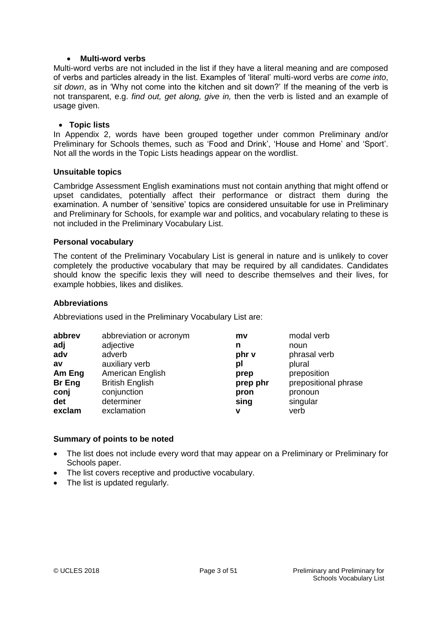#### **Multi-word verbs**

Multi-word verbs are not included in the list if they have a literal meaning and are composed of verbs and particles already in the list. Examples of 'literal' multi-word verbs are *come into*, *sit down*, as in 'Why not come into the kitchen and sit down?' If the meaning of the verb is not transparent, e.g. *find out, get along, give in,* then the verb is listed and an example of usage given.

#### **Topic lists**

In Appendix 2, words have been grouped together under common Preliminary and/or Preliminary for Schools themes, such as 'Food and Drink', 'House and Home' and 'Sport'. Not all the words in the Topic Lists headings appear on the wordlist.

#### **Unsuitable topics**

Cambridge Assessment English examinations must not contain anything that might offend or upset candidates, potentially affect their performance or distract them during the examination. A number of 'sensitive' topics are considered unsuitable for use in Preliminary and Preliminary for Schools, for example war and politics, and vocabulary relating to these is not included in the Preliminary Vocabulary List.

#### **Personal vocabulary**

The content of the Preliminary Vocabulary List is general in nature and is unlikely to cover completely the productive vocabulary that may be required by all candidates. Candidates should know the specific lexis they will need to describe themselves and their lives, for example hobbies, likes and dislikes.

#### **Abbreviations**

Abbreviations used in the Preliminary Vocabulary List are:

| abbrev | abbreviation or acronym | mv       | modal verb           |
|--------|-------------------------|----------|----------------------|
| adj    | adjective               | n        | noun                 |
| adv    | adverb                  | phr v    | phrasal verb         |
| av     | auxiliary verb          | pl       | plural               |
| Am Eng | American English        | prep     | preposition          |
| Br Eng | <b>British English</b>  | prep phr | prepositional phrase |
| conj   | conjunction             | pron     | pronoun              |
| det    | determiner              | sing     | singular             |
| exclam | exclamation             | v        | verb                 |

### **Summary of points to be noted**

- The list does not include every word that may appear on a Preliminary or Preliminary for Schools paper.
- The list covers receptive and productive vocabulary.
- The list is updated regularly.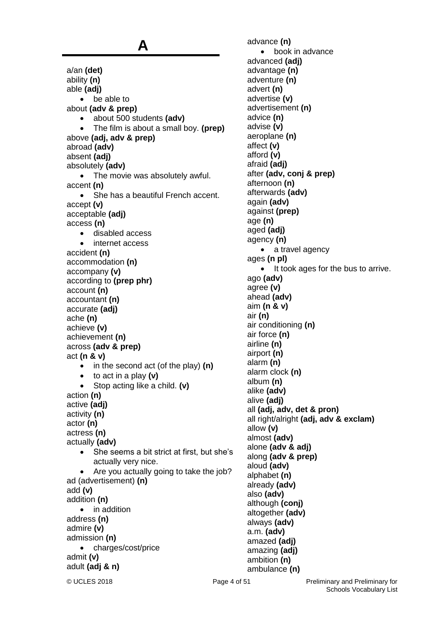**A** a/an **(det)** ability **(n)** able **(adj)** • be able to about **(adv & prep)** about 500 students **(adv)** The film is about a small boy. **(prep)** above **(adj, adv & prep)** abroad **(adv)** absent **(adj)** absolutely **(adv)** • The movie was absolutely awful. accent **(n)** • She has a beautiful French accent. accept **(v)** acceptable **(adj)** access **(n)** disabled access internet access accident **(n)** accommodation **(n)** accompany **(v)** according to **(prep phr)** account **(n)** accountant **(n)** accurate **(adj)** ache **(n)** achieve **(v)** achievement **(n)** across **(adv & prep)** act **(n & v)** • in the second act (of the play) **(n)**  to act in a play **(v)** Stop acting like a child. **(v)** action **(n)** active **(adj)** activity **(n)** actor **(n)** actress **(n)** actually **(adv)** • She seems a bit strict at first, but she's actually very nice. Are you actually going to take the job? ad (advertisement) **(n)** add **(v)** addition **(n)** • in addition address **(n)** admire **(v)** admission **(n)** • charges/cost/price admit **(v)** adult **(adj & n)**

advance **(n)** • book in advance advanced **(adj)** advantage **(n)** adventure **(n)** advert **(n)** advertise **(v)** advertisement **(n)** advice **(n)** advise **(v)** aeroplane **(n)** affect **(v)** afford **(v)** afraid **(adj)** after **(adv, conj & prep)** afternoon **(n)** afterwards **(adv)** again **(adv)** against **(prep)** age **(n)** aged **(adj)** agency **(n)** • a travel agency ages **(n pl)** • It took ages for the bus to arrive. ago **(adv)** agree **(v)** ahead **(adv)** aim **(n & v)** air **(n)** air conditioning **(n)** air force **(n)** airline **(n)** airport **(n)** alarm **(n)** alarm clock **(n)** album **(n)** alike **(adv)** alive **(adj)** all **(adj, adv, det & pron)** all right/alright **(adj, adv & exclam)** allow **(v)** almost **(adv)** alone **(adv & adj)** along **(adv & prep)** aloud **(adv)** alphabet **(n)** already **(adv)** also **(adv)** although **(conj)** altogether **(adv)** always **(adv)** a.m. **(adv)** amazed **(adj)** amazing **(adj)** ambition **(n)** ambulance **(n)**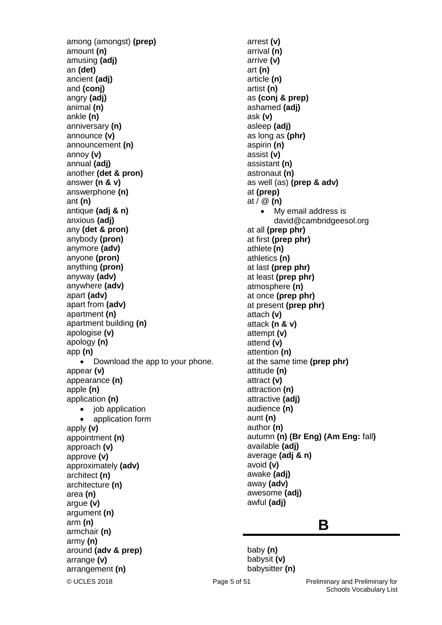among (amongst) **(prep)** amount **(n)** amusing **(adj)** an **(det)** ancient **(adj)** and **(conj)** angry **(adj)** animal **(n)** ankle **(n)** anniversary **(n)** announce **(v)** announcement **(n)** annoy **(v)** annual **(adj)** another **(det & pron)** answer **(n & v)** answerphone **(n)** ant **(n)** antique **(adj & n)** anxious **(adj)** any **(det & pron)** anybody **(pron)** anymore **(adv)** anyone **(pron)** anything **(pron)** anyway **(adv)** anywhere **(adv)** apart **(adv)** apart from **(adv)** apartment **(n)** apartment building **(n)** apologise **(v)** apology **(n)** app **(n)** • Download the app to your phone. appear **(v)** appearance **(n)** apple **(n)** application **(n)** • job application application form apply **(v)** appointment **(n)** approach **(v)** approve **(v)** approximately **(adv)** architect **(n)** architecture **(n)** area **(n)** argue **(v)** argument **(n)** arm **(n)** armchair **(n)** army **(n)** around **(adv & prep)** arrange **(v)** arrangement **(n)**

arrest **(v)** arrival **(n)** arrive **(v)** art **(n)** article **(n)** artist **(n)** as **(conj & prep)** ashamed **(adj)** ask **(v)** asleep **(adj)** as long as **(phr)** aspirin **(n)** assist **(v)** assistant **(n)** astronaut **(n)** as well (as) **(prep & adv)** at **(prep)** at / @ **(n)** • My email address is david@cambridgeesol.org at all **(prep phr)**  at first **(prep phr)** athlete **(n)** athletics **(n)** at last **(prep phr)** at least **(prep phr)** atmosphere **(n)** at once **(prep phr)** at present **(prep phr)** attach **(v)** attack **(n & v)** attempt **(v)** attend **(v)** attention **(n)** at the same time **(prep phr)** attitude **(n)** attract **(v)** attraction **(n)** attractive **(adj)** audience **(n)** aunt **(n)** author **(n)** autumn **(n) (Br Eng) (Am Eng:** fall**)** available **(adj)** average **(adj & n)** avoid **(v)** awake **(adj)** away **(adv)** awesome **(adj)** awful **(adj)**

### **B**

baby **(n)** babysit **(v)** babysitter **(n)**

© UCLES 2018 Page 5 of 51 Preliminary and Preliminary for Schools Vocabulary List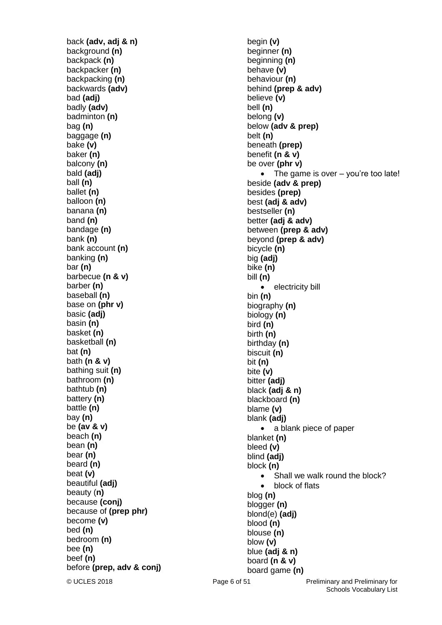back **(adv, adj & n)** background **(n)** backpack **(n)** backpacker **(n)** backpacking **(n)** backwards **(adv)** bad **(adj)** badly **(adv)** badminton **(n)** bag **(n)** baggage **(n)** bake **(v)** baker **(n)** balcony **(n)** bald **(adj)** ball **(n)** ballet **(n)** balloon **(n)** banana **(n)** band **(n)** bandage **(n)** bank **(n)** bank account **(n)** banking **(n)** bar **(n)** barbecue **(n & v)** barber **(n)** baseball **(n)** base on **(phr v)** basic **(adj)** basin **(n)** basket **(n)** basketball **(n)** bat **(n)** bath **(n & v)** bathing suit **(n)** bathroom **(n)** bathtub **(n)** battery **(n)** battle **(n)** bay **(n)** be **(av & v)** beach **(n)** bean **(n)** bear **(n)** beard **(n)** beat **(v)** beautiful **(adj)** beauty (**n)** because **(conj)** because of **(prep phr)** become **(v)** bed **(n)** bedroom **(n)** bee **(n)** beef **(n)** before **(prep, adv & conj)**

© UCLES 2018 Page 6 of 51 Preliminary and Preliminary for begin **(v)** beginner **(n)** beginning **(n)** behave **(v)** behaviour **(n)** behind **(prep & adv)** believe **(v)** bell **(n)** belong **(v)** below **(adv & prep)** belt **(n)** beneath **(prep)** benefit **(n & v)** be over **(phr v)** The game is over – you're too late! beside **(adv & prep)** besides **(prep)** best **(adj & adv)** bestseller **(n)** better **(adj & adv)** between **(prep & adv)** beyond **(prep & adv)** bicycle **(n)** big **(adj)** bike **(n)** bill **(n)** • electricity bill bin **(n)** biography **(n)** biology **(n)** bird **(n)** birth **(n)** birthday **(n)** biscuit **(n)** bit **(n)** bite **(v)** bitter **(adj)** black **(adj & n)** blackboard **(n)** blame **(v)** blank **(adj)** • a blank piece of paper blanket **(n)** bleed **(v)** blind **(adj)** block **(n)** • Shall we walk round the block? • block of flats blog **(n)** blogger **(n)** blond(e) **(adj)** blood **(n)** blouse **(n)** blow **(v)** blue **(adj & n)** board **(n & v)** board game **(n)**

Schools Vocabulary List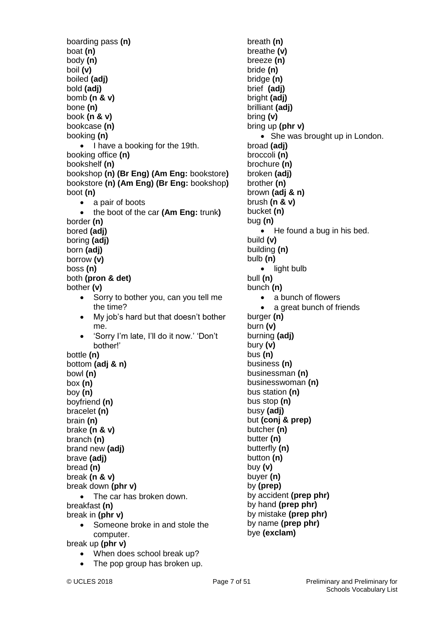boarding pass **(n)** boat **(n)** body **(n)** boil **(v)** boiled **(adj)** bold **(adj)** bomb **(n & v)** bone **(n)** book **(n & v)** bookcase **(n)** booking **(n)** • I have a booking for the 19th. booking office **(n)** bookshelf **(n)** bookshop **(n) (Br Eng) (Am Eng:** bookstore**)** bookstore **(n) (Am Eng) (Br Eng:** bookshop**)** boot **(n)** • a pair of boots the boot of the car **(Am Eng:** trunk**)** border **(n)** bored **(adj)** boring **(adj)** born **(adj)** borrow **(v)** boss **(n)** both **(pron & det)** bother **(v)** • Sorry to bother you, can you tell me the time? • My job's hard but that doesn't bother me. 'Sorry I'm late, I'll do it now.' 'Don't bother!' bottle **(n)** bottom **(adj & n)** bowl **(n)** box **(n)** boy **(n)** boyfriend **(n)** bracelet **(n)** brain **(n)** brake **(n & v)** branch **(n)** brand new **(adj)** brave **(adj)** bread **(n)** break **(n & v)** break down **(phr v)** • The car has broken down. breakfast **(n)** break in **(phr v)** • Someone broke in and stole the computer. break up **(phr v)** When does school break up?

The pop group has broken up.

breath **(n)** breathe **(v)** breeze **(n)** bride **(n)** bridge **(n)** brief **(adj)** bright **(adj)** brilliant **(adj)** bring **(v)**

bring up **(phr v)**

broad **(adj)** broccoli **(n)** brochure **(n)** broken **(adj)** brother **(n)** brown **(adj & n)** brush **(n & v)** bucket **(n)** bug **(n)** 

build **(v)** building **(n)** bulb **(n)**

bull **(n)** bunch **(n)**

burger **(n)** burn **(v)** burning **(adj)** bury **(v)** bus **(n)** business **(n)** businessman **(n)** businesswoman **(n)** bus station **(n)** bus stop **(n)** busy **(adj)**

• light bulb

but **(conj & prep)**

by accident **(prep phr)** by hand **(prep phr)** by mistake **(prep phr)** by name **(prep phr)** bye **(exclam)**

butcher **(n)** butter **(n)** butterfly **(n)** button **(n)** buy **(v)** buyer **(n)** by **(prep)**

• a bunch of flowers

• She was brought up in London.

• He found a bug in his bed.

a great bunch of friends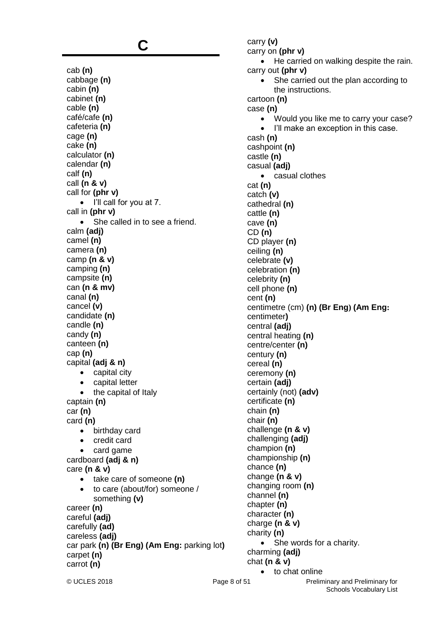### **C**

cab **(n)** cabbage **(n)** cabin **(n)** cabinet **(n)** cable **(n)** café/cafe **(n)** cafeteria **(n)** cage **(n)** cake **(n)** calculator **(n)** calendar **(n)** calf **(n)** call **(n & v)** call for **(phr v)** • I'll call for you at 7. call in **(phr v)** • She called in to see a friend. calm **(adj)** camel **(n)** camera **(n)** camp **(n & v)** camping **(n)** campsite **(n)** can **(n & mv)** canal **(n)** cancel **(v)** candidate **(n)** candle **(n)** candy **(n)** canteen **(n)** cap **(n)** capital **(adj & n)** • capital city • capital letter • the capital of Italy captain **(n)** car **(n)** card **(n)** • birthday card • credit card card game cardboard **(adj & n)** care **(n & v)** take care of someone **(n)** to care (about/for) someone / something **(v)** career **(n)** careful **(adj)** carefully **(ad)** careless **(adj)** car park **(n) (Br Eng) (Am Eng:** parking lot**)** carpet **(n)** carrot **(n)**

carry **(v)** carry on **(phr v)** He carried on walking despite the rain. carry out **(phr v)** • She carried out the plan according to the instructions. cartoon **(n)** case **(n)** Would you like me to carry your case? • I'll make an exception in this case. cash **(n)** cashpoint **(n)** castle **(n)** casual **(adj)** casual clothes cat **(n)** catch **(v)** cathedral **(n)** cattle **(n)** cave **(n)** CD **(n)** CD player **(n)** ceiling **(n)** celebrate **(v)** celebration **(n)** celebrity **(n)** cell phone **(n)** cent **(n)** centimetre (cm) **(n) (Br Eng) (Am Eng:**  centimeter**)** central **(adj)** central heating **(n)** centre/center **(n)** century **(n)** cereal **(n)** ceremony **(n)** certain **(adj)** certainly (not) **(adv)** certificate **(n)** chain **(n)** chair **(n)** challenge **(n & v)** challenging **(adj)** champion **(n)** championship **(n)** chance **(n)** change **(n & v)** changing room **(n)** channel **(n)** chapter **(n)** character **(n)** charge **(n & v)** charity **(n)** • She words for a charity. charming **(adj)** chat **(n & v)** • to chat online

© UCLES 2018 Page 8 of 51 Preliminary and Preliminary for Schools Vocabulary List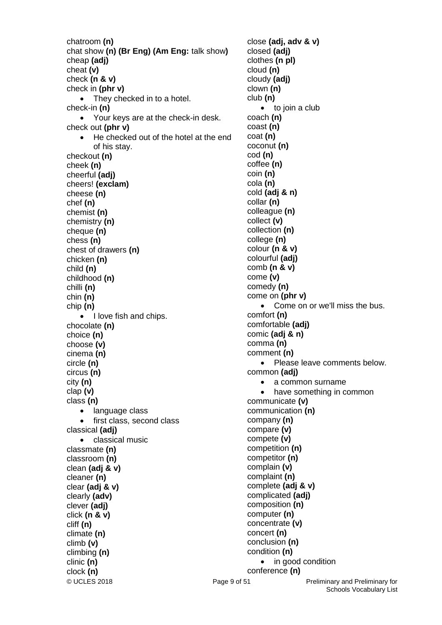chatroom **(n)** chat show **(n) (Br Eng) (Am Eng:** talk show**)** cheap **(adj)** cheat **(v)** check **(n & v)** check in **(phr v)** • They checked in to a hotel. check-in **(n)** Your keys are at the check-in desk. check out **(phr v)** He checked out of the hotel at the end of his stay. checkout **(n)** cheek **(n)** cheerful **(adj)** cheers! **(exclam)** cheese **(n)** chef **(n)** chemist **(n)** chemistry **(n)** cheque **(n)** chess **(n)** chest of drawers **(n)** chicken **(n)** child **(n)** childhood **(n)** chilli **(n)** chin **(n)** chip **(n)** I love fish and chips. chocolate **(n)** choice **(n)** choose **(v)** cinema **(n)** circle **(n)** circus **(n)** city **(n)** clap **(v)** class **(n)** • language class first class, second class classical **(adj)** • classical music classmate **(n)** classroom **(n)** clean **(adj & v)** cleaner **(n)** clear **(adj & v)** clearly **(adv)** clever **(adj)** click **(n & v)** cliff **(n)** climate **(n)** climb **(v)** climbing **(n)** clinic **(n)** clock **(n)**

© UCLES 2018 Page 9 of 51 Preliminary and Preliminary for close **(adj, adv & v)**  closed **(adj)** clothes **(n pl)** cloud **(n)** cloudy **(adj)** clown **(n)** club **(n)** • to join a club coach **(n)** coast **(n)** coat **(n)** coconut **(n)** cod **(n)** coffee **(n)** coin **(n)** cola **(n)** cold **(adj & n)** collar **(n)** colleague **(n)** collect **(v)** collection **(n)** college **(n)** colour **(n & v)** colourful **(adj)** comb **(n & v)** come **(v)** comedy **(n)** come on **(phr v)** • Come on or we'll miss the bus. comfort **(n)** comfortable **(adj)** comic **(adj & n)** comma **(n)** comment **(n)** • Please leave comments below. common **(adj)** • a common surname have something in common communicate **(v)** communication **(n)** company **(n)** compare **(v)** compete **(v)** competition **(n)** competitor **(n)** complain **(v)** complaint **(n)** complete **(adj & v)** complicated **(adj)** composition **(n)** computer **(n)** concentrate **(v)** concert **(n)** conclusion **(n)** condition **(n)** • in good condition conference **(n)**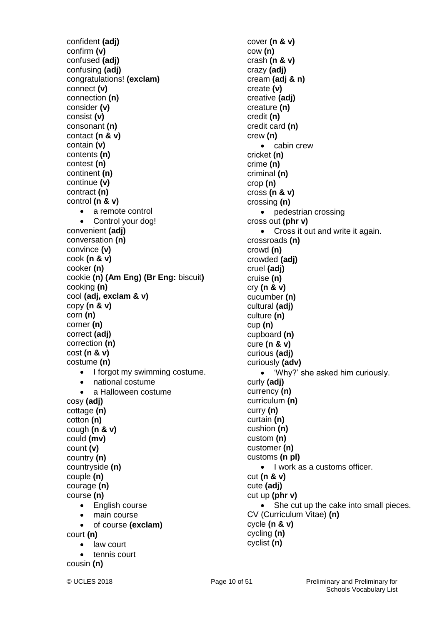confident **(adj)** confirm **(v)** confused **(adj)** confusing **(adj)** congratulations! **(exclam)** connect **(v)** connection **(n)** consider **(v)** consist **(v)** consonant **(n)** contact **(n & v)** contain **(v)** contents **(n)** contest **(n)** continent **(n)** continue **(v)** contract **(n)** control **(n & v)** • a remote control • Control your dog! convenient **(adj)** conversation **(n)** convince **(v)** cook **(n & v)** cooker **(n)** cookie **(n) (Am Eng) (Br Eng:** biscuit**)** cooking **(n)** cool **(adj, exclam & v)** copy **(n & v)** corn **(n)** corner **(n)** correct **(adj)** correction **(n)** cost **(n & v)** costume **(n)** • I forgot my swimming costume. national costume • a Halloween costume cosy **(adj)** cottage **(n)** cotton **(n)** cough **(n & v)** could **(mv)** count **(v)** country **(n)** countryside **(n)** couple **(n)** courage **(n)** course **(n)** • English course • main course of course **(exclam)** court **(n)** • law court tennis court cousin **(n)**

cover **(n & v)** cow **(n)** crash **(n & v)** crazy **(adj)** cream **(adj & n)** create **(v)** creative **(adj)** creature **(n)** credit **(n)** credit card **(n)** crew **(n)** • cabin crew cricket **(n)** crime **(n)** criminal **(n)** crop **(n)** cross **(n & v)** crossing **(n)** • pedestrian crossing cross out **(phr v)** Cross it out and write it again. crossroads **(n)** crowd **(n)** crowded **(adj)** cruel **(adj)** cruise **(n)** cry **(n & v)** cucumber **(n)** cultural **(adj)** culture **(n)** cup **(n)** cupboard **(n)** cure **(n & v)** curious **(adj)** curiously **(adv)** 'Why?' she asked him curiously. curly **(adj)** currency **(n)** curriculum **(n)** curry **(n)** curtain **(n)** cushion **(n)** custom **(n)** customer **(n)** customs **(n pl)** • I work as a customs officer. cut **(n & v)** cute **(adj)** cut up **(phr v)** • She cut up the cake into small pieces. CV (Curriculum Vitae) **(n)** cycle **(n & v)** cycling **(n)** cyclist **(n)**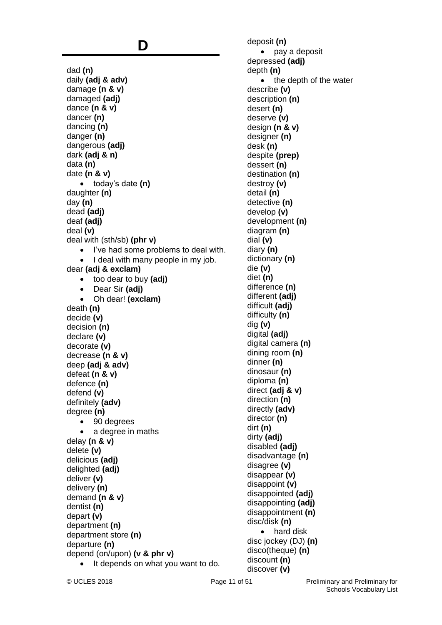### **D**

dad **(n)** daily **(adj & adv)** damage **(n & v)** damaged **(adj)** dance **(n & v)** dancer **(n)** dancing **(n)** danger **(n)** dangerous **(adj)** dark **(adj & n)** data **(n)** date **(n & v)** today's date **(n)** daughter **(n)** day **(n)** dead **(adj)** deaf **(adj)** deal **(v)** deal with (sth/sb) **(phr v)** • I've had some problems to deal with. I deal with many people in my job. dear **(adj & exclam)** too dear to buy **(adj)** Dear Sir **(adj)** Oh dear! **(exclam)** death **(n)** decide **(v)** decision **(n)** declare **(v)** decorate **(v)** decrease **(n & v)** deep **(adj & adv)** defeat **(n & v)** defence **(n)** defend **(v)** definitely **(adv)** degree **(n)** • 90 degrees a degree in maths delay **(n & v)** delete **(v)** delicious **(adj)** delighted **(adj)** deliver **(v)** delivery **(n)** demand **(n & v)** dentist **(n)** depart **(v)** department **(n)** department store **(n)** departure **(n)** depend (on/upon) **(v & phr v)** It depends on what you want to do.

deposit **(n)** • pay a deposit depressed **(adj)** depth **(n)** • the depth of the water describe **(v)** description **(n)** desert **(n)** deserve **(v)** design **(n & v)** designer **(n)** desk **(n)** despite **(prep)** dessert **(n)** destination **(n)** destroy **(v)** detail **(n)** detective **(n)** develop **(v)** development **(n)** diagram **(n)** dial **(v)** diary **(n)** dictionary **(n)** die **(v)** diet **(n)** difference **(n)** different **(adj)** difficult **(adj)** difficulty **(n)** dig **(v)** digital **(adj)** digital camera **(n)** dining room **(n)** dinner **(n)** dinosaur **(n)** diploma **(n)** direct **(adj & v)** direction **(n)** directly **(adv)** director **(n)** dirt **(n)** dirty **(adj)** disabled **(adj)** disadvantage **(n)** disagree **(v)** disappear **(v)** disappoint **(v)** disappointed **(adj)** disappointing **(adj)** disappointment **(n)** disc/disk **(n)** • hard disk disc jockey (DJ) **(n)** disco(theque) **(n)** discount **(n)** discover **(v)**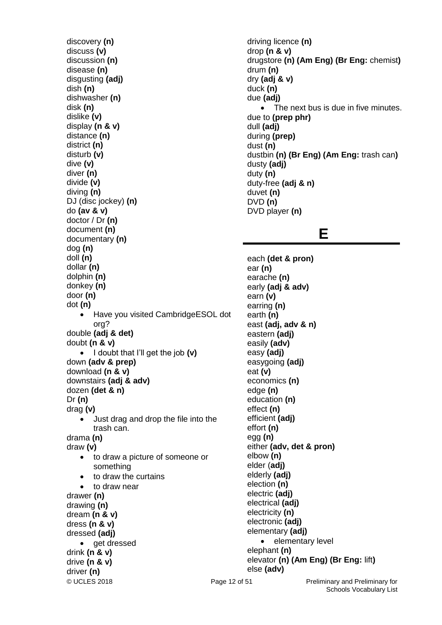© UCLES 2018 **Page 12 of 51** Preliminary and Preliminary for discovery **(n)** discuss **(v)** discussion **(n)** disease **(n)** disgusting **(adj)** dish **(n)** dishwasher **(n)** disk **(n)** dislike **(v)** display **(n & v)** distance **(n)** district **(n)** disturb **(v)** dive **(v)** diver **(n)** divide **(v)** diving **(n)** DJ (disc jockey) **(n)** do **(av & v)** doctor / Dr **(n)** document **(n)** documentary **(n)** dog **(n)** doll **(n)** dollar **(n)** dolphin **(n)** donkey **(n)** door **(n)** dot **(n)** Have you visited CambridgeESOL dot org? double **(adj & det)** doubt **(n & v)** I doubt that I'll get the job **(v)** down **(adv & prep)** download **(n & v)** downstairs **(adj & adv)** dozen **(det & n)** Dr **(n)** drag **(v)** Just drag and drop the file into the trash can. drama **(n)** draw **(v)** to draw a picture of someone or something • to draw the curtains • to draw near drawer **(n)** drawing **(n)** dream **(n & v)** dress **(n & v)** dressed **(adj)** • aet dressed drink **(n & v)** drive **(n & v)** driver **(n)**

driving licence **(n)** drop **(n & v)** drugstore **(n) (Am Eng) (Br Eng:** chemist**)** drum **(n)** dry **(adj & v)** duck **(n)** due **(adj)** • The next bus is due in five minutes. due to **(prep phr)** dull **(adj)** during **(prep)** dust **(n)** dustbin **(n) (Br Eng) (Am Eng:** trash can**)**  dusty **(adj)** duty **(n)** duty-free **(adj & n)** duvet **(n)** DVD **(n)** DVD player **(n)**

### **E**

each **(det & pron)** ear **(n)** earache **(n)** early **(adj & adv)** earn **(v)** earring **(n)** earth **(n)** east **(adj, adv & n)** eastern **(adj)** easily **(adv)** easy **(adj)** easygoing **(adj)** eat **(v)** economics **(n)** edge **(n)** education **(n)** effect **(n)** efficient **(adj)** effort **(n)** egg **(n)** either **(adv, det & pron)** elbow **(n)** elder (**adj)** elderly **(adj)** election **(n)** electric **(adj)** electrical **(adj)** electricity **(n)** electronic **(adj)** elementary **(adj)** • elementary level elephant **(n)** elevator **(n) (Am Eng) (Br Eng:** lift**)** else **(adv)**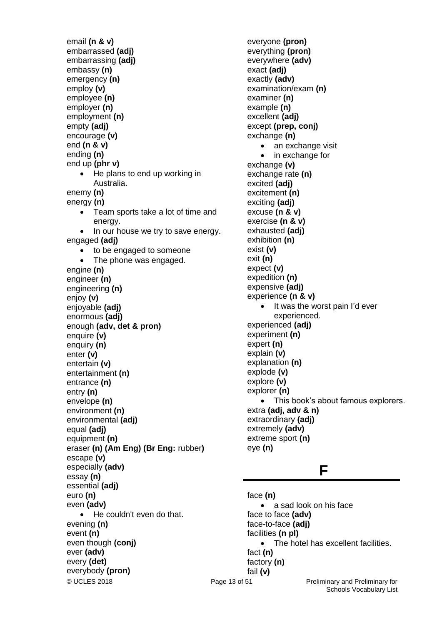email **(n & v)** embarrassed **(adj)** embarrassing **(adj)** embassy **(n)** emergency **(n)** employ **(v)** employee **(n)** employer **(n)** employment **(n)** empty **(adj)** encourage **(v)** end **(n & v)** ending **(n)** end up **(phr v)** He plans to end up working in Australia. enemy **(n)** energy **(n)** • Team sports take a lot of time and energy. In our house we try to save energy. engaged **(adj)** • to be engaged to someone • The phone was engaged. engine **(n)** engineer **(n)** engineering **(n)** enjoy **(v)** enjoyable **(adj)** enormous **(adj)** enough **(adv, det & pron)** enquire **(v)** enquiry **(n)** enter **(v)** entertain **(v)** entertainment **(n)** entrance **(n)** entry **(n)** envelope **(n)** environment **(n)** environmental **(adj)** equal **(adj)** equipment **(n)** eraser **(n) (Am Eng) (Br Eng:** rubber**)** escape **(v)** especially **(adv)** essay **(n)** essential **(adj)** euro **(n)**  even **(adv)** • He couldn't even do that. evening **(n)** event **(n)** even though **(conj)** ever **(adv)** every **(det)** everybody **(pron)**

everyone **(pron)** everything **(pron)** everywhere **(adv)** exact **(adj)** exactly **(adv)** examination/exam **(n)** examiner **(n)** example **(n)** excellent **(adj)** except **(prep, conj)** exchange **(n)** an exchange visit • in exchange for exchange **(v)** exchange rate **(n)** excited **(adj)** excitement **(n)**  exciting **(adj)** excuse **(n & v)** exercise **(n & v)** exhausted **(adj)** exhibition **(n)** exist **(v)** exit **(n)** expect **(v)** expedition **(n)** expensive **(adj)** experience **(n & v)** It was the worst pain I'd ever experienced. experienced **(adj)** experiment **(n)** expert **(n)** explain **(v)** explanation **(n)** explode **(v)** explore **(v)** explorer **(n)** • This book's about famous explorers. extra **(adj, adv & n)** extraordinary **(adj)** extremely **(adv)** extreme sport **(n)** eye **(n)**

### **F**

© UCLES 2018 **Page 13 of 51** Preliminary and Preliminary for face **(n)** • a sad look on his face face to face **(adv)** face-to-face **(adj)** facilities **(n pl)** • The hotel has excellent facilities. fact **(n)** factory **(n)** fail **(v)**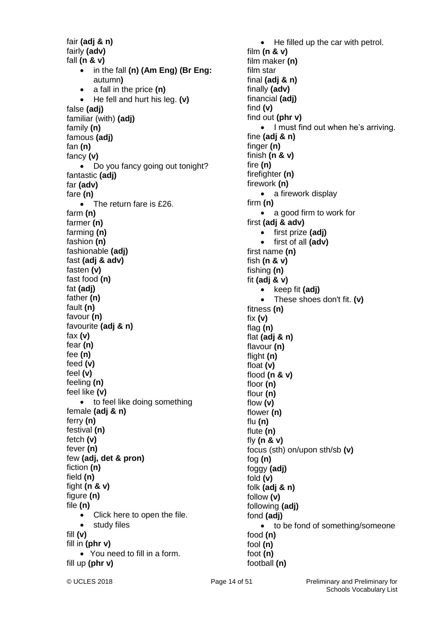fair **(adj & n)** fairly **(adv)** fall **(n & v)** in the fall **(n) (Am Eng) (Br Eng:**  autumn**)** a fall in the price **(n)** He fell and hurt his leg. **(v)** false **(adj)** familiar (with) **(adj)** family **(n)** famous **(adj)** fan **(n)** fancy **(v)** • Do you fancy going out tonight? fantastic **(adj)** far **(adv)** fare **(n)** • The return fare is £26. farm **(n)** farmer **(n)** farming **(n)** fashion **(n)** fashionable **(adj)** fast **(adj & adv)** fasten **(v)** fast food **(n)** fat **(adj)** father **(n)** fault **(n)** favour **(n)** favourite **(adj & n)** fax **(v)** fear **(n)** fee **(n)** feed **(v)** feel **(v)** feeling **(n)** feel like **(v)** • to feel like doing something female **(adj & n)** ferry **(n)** festival **(n)** fetch **(v)** fever **(n)** few **(adj, det & pron)** fiction **(n)** field **(n)** fight **(n & v)** figure **(n)** file **(n)** • Click here to open the file. • study files fill **(v)** fill in **(phr v)** You need to fill in a form. fill up **(phr v)**

• He filled up the car with petrol. film **(n & v)** film maker **(n)** film star final **(adj & n)** finally **(adv)** financial **(adj)** find **(v)** find out **(phr v)** • I must find out when he's arriving. fine **(adj & n)**  finger **(n)** finish **(n & v)** fire **(n)** firefighter **(n)** firework **(n)** • a firework display firm **(n)** • a good firm to work for first **(adj & adv)** first prize **(adj)** first of all **(adv)** first name **(n)** fish **(n & v)** fishing **(n)** fit **(adj & v)** • keep fit (adj) These shoes don't fit. **(v)** fitness **(n)** fix **(v)** flag **(n)** flat **(adj & n)** flavour **(n)** flight **(n)** float **(v)** flood **(n & v)** floor **(n)** flour **(n)** flow **(v)** flower **(n)** flu **(n)** flute **(n)** fly **(n & v)** focus (sth) on/upon sth/sb **(v)** fog **(n)** foggy **(adj)**  fold **(v)** folk **(adj & n)** follow **(v)** following **(adj)** fond **(adj)** • to be fond of something/someone food **(n)** fool **(n)** foot **(n)** football **(n)**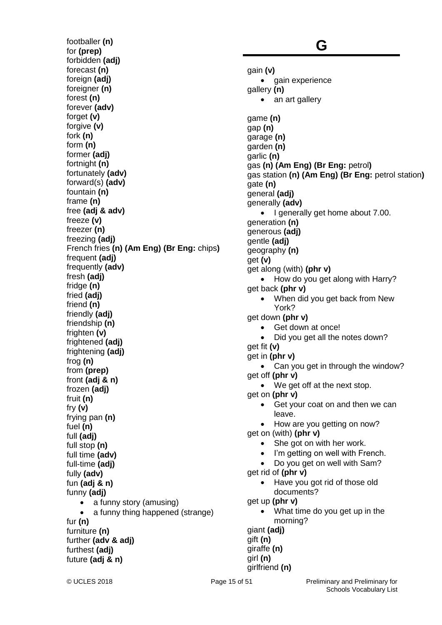footballer **(n)** for **(prep)** forbidden **(adj)** forecast **(n)** foreign (adi) foreigner (n) forest **(n)** forever **(adv)** forget **(v)** forgive **(v)** fork **(n)** form **(n)** former **(adj)** fortnight **(n)** fortunately **(adv)** forward(s) **(adv)** fountain **(n)** frame **(n)** free **(adj & adv)** freeze **(v)** freezer **(n)** freezing **(adj)** French fries **(n) (Am Eng) (Br Eng:** chips**)** frequent **(adj)** frequently **(adv)** fresh **(adj)** fridge **(n)** fried **(adj)** friend **(n)** friendly **(adj)** friendship **(n)** frighten **(v)** frightened **(adj)** frightening **(adj)** frog **(n)** from **(prep)** front **(adj & n)** frozen **(adj)** fruit **(n)** fry **(v)** frying pan **(n)** fuel **(n)** full **(adj)** full stop **(n)** full time **(adv)** full-time **(adj)** fully **(adv)** fun **(adj & n)** funny **(adj)** • a funny story (amusing) a funny thing happened (strange) fur **(n)** furniture **(n)** further **(adv & adj)** furthest **(adj)** future **(adj & n)**

### **G**

gain **(v)** • gain experience gallery **(n)** • an art gallery game **(n)** gap **(n)** garage **(n)** garden **(n)** garlic **(n)** gas **(n) (Am Eng) (Br Eng:** petrol**)** gas station **(n) (Am Eng) (Br Eng:** petrol station**)** gate **(n)** general **(adj)** generally **(adv)** • I generally get home about 7.00. generation **(n)** generous **(adj)** gentle **(adj)** geography **(n)** get **(v)** get along (with) **(phr v)** • How do you get along with Harry? get back **(phr v)** • When did you get back from New York? get down **(phr v)** Get down at once! Did you get all the notes down? get fit **(v)** get in **(phr v)** Can you get in through the window? get off **(phr v)** • We get off at the next stop. get on **(phr v)** • Get your coat on and then we can leave. • How are you getting on now? get on (with) **(phr v)** • She got on with her work. • I'm getting on well with French. Do you get on well with Sam? get rid of **(phr v)** Have you got rid of those old documents? get up **(phr v)** What time do you get up in the morning? giant **(adj)** gift **(n)** giraffe **(n)** girl **(n)**

girlfriend **(n)**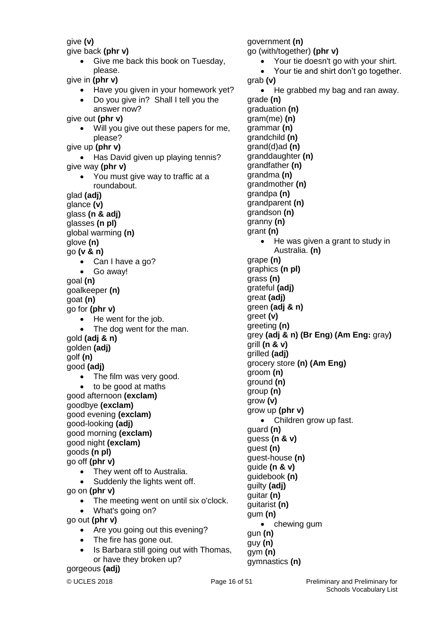give **(v)**

give back **(phr v)**

• Give me back this book on Tuesday, please.

give in **(phr v)**

- Have you given in your homework yet?
- Do you give in? Shall I tell you the answer now?

give out **(phr v)**

Will you give out these papers for me, please?

give up **(phr v)**

- Has David given up playing tennis? give way **(phr v)**
	- You must give way to traffic at a roundabout.

glad **(adj)**

- glance **(v)**
- glass **(n & adj)**
- glasses **(n pl)**
- global warming **(n)**
- glove **(n)**

go **(v & n)**

- Can I have a go?
- Go away!

goal **(n)** goalkeeper **(n)**

goat **(n)**

go for **(phr v)**

- He went for the job.
- The dog went for the man. gold **(adj & n)**

golden **(adj)**

golf **(n)**

good **(adj)**

- The film was very good.
- to be good at maths

good afternoon **(exclam)** goodbye **(exclam)** good evening **(exclam)**

good-looking **(adj)** good morning **(exclam)**

good night **(exclam)**

goods **(n pl)**

go off **(phr v)**

They went off to Australia.

• Suddenly the lights went off.

go on **(phr v)**

- The meeting went on until six o'clock.
- What's going on?

go out **(phr v)**

- Are you going out this evening?
- The fire has gone out.
- Is Barbara still going out with Thomas, or have they broken up?

gorgeous **(adj)**

gun **(n)** guy **(n)** gym **(n)**

gymnastics **(n)**

 Your tie doesn't go with your shirt. Your tie and shirt don't go together. grab **(v)** • He grabbed my bag and ran away. grade **(n)** graduation **(n)** gram(me) **(n)** grammar **(n)** grandchild **(n)** grand(d)ad **(n)**  granddaughter **(n)** grandfather **(n)** grandma **(n)** grandmother **(n)** grandpa **(n)** grandparent **(n)** grandson **(n)** granny **(n)** grant **(n)** • He was given a grant to study in Australia. **(n)** grape **(n)** graphics **(n pl)** grass **(n)** grateful **(adj)** great **(adj)** green **(adj & n)** greet **(v)** greeting **(n)** grey **(adj & n) (Br Eng) (Am Eng:** gray**)** grill **(n & v)** grilled **(adj)** grocery store **(n) (Am Eng)**  groom **(n)** ground **(n)** group **(n)** grow **(v)** grow up **(phr v)** • Children grow up fast. guard **(n)** guess **(n & v)** guest **(n)** guest-house **(n)** guide **(n & v)** guidebook **(n)** guilty **(adj)** guitar **(n)** guitarist **(n)** gum **(n)** • chewing gum

government **(n)**

go (with/together) **(phr v)**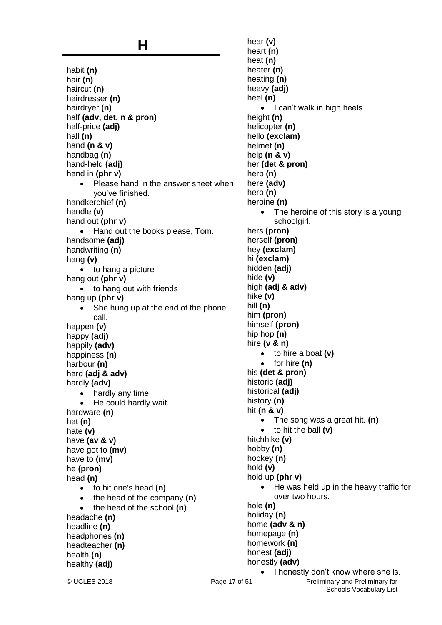### **H**

habit **(n)** hair **(n)** haircut **(n)** hairdresser **(n)** hairdryer **(n)** half **(adv, det, n & pron)** half-price **(adj)** hall **(n)** hand **(n & v)** handbag **(n)** hand-held **(adj)** hand in **(phr v)** • Please hand in the answer sheet when you've finished. handkerchief **(n)** handle **(v)** hand out **(phr v)** • Hand out the books please, Tom. handsome **(adj)** handwriting **(n)** hang **(v)** • to hang a picture hang out **(phr v)** • to hang out with friends hang up **(phr v)** • She hung up at the end of the phone call. happen **(v)** happy **(adj)** happily **(adv)** happiness **(n)** harbour **(n)** hard **(adj & adv)** hardly **(adv)** • hardly any time He could hardly wait. hardware **(n)** hat **(n)** hate **(v)** have **(av & v)** have got to **(mv)** have to **(mv)** he **(pron)** head **(n)** to hit one's head **(n)** the head of the company **(n)** the head of the school **(n)** headache **(n)** headline **(n)** headphones **(n)** headteacher **(n)** health **(n)** healthy **(adj)**

© UCLES 2018 **Page 17 of 51** Preliminary and Preliminary for hear **(v)** heart **(n)** heat **(n)** heater **(n)** heating **(n)** heavy **(adj)** heel **(n)**  $\bullet$  I can't walk in high heels. height **(n)** helicopter **(n)** hello **(exclam)** helmet **(n)** help **(n & v)** her **(det & pron)** herb **(n)** here **(adv)** hero **(n)** heroine **(n)** • The heroine of this story is a young schoolgirl. hers **(pron)** herself **(pron)** hey **(exclam)** hi **(exclam)** hidden **(adj)** hide **(v)** high **(adj & adv)** hike **(v)** hill **(n)** him **(pron)** himself **(pron)** hip hop **(n)** hire **(v & n)** to hire a boat **(v)** • for hire (n) his **(det & pron)** historic **(adj)** historical **(adj)** history **(n)** hit **(n & v)** The song was a great hit. **(n)** to hit the ball **(v)** hitchhike **(v)** hobby **(n)** hockey **(n)** hold **(v)** hold up **(phr v)** • He was held up in the heavy traffic for over two hours. hole **(n)** holiday **(n)** home **(adv & n)** homepage **(n)** homework **(n)** honest **(adj)** honestly **(adv)** • I honestly don't know where she is.

Schools Vocabulary List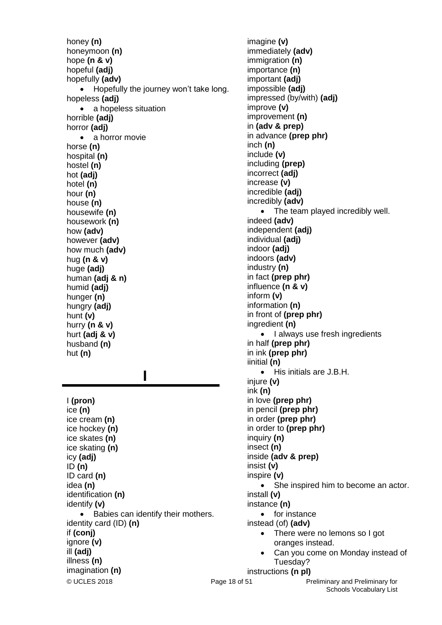honey **(n)** honeymoon **(n)** hope **(n & v)** hopeful **(adj)** hopefully **(adv)** • Hopefully the journey won't take long. hopeless **(adj)** • a hopeless situation horrible **(adj)** horror **(adj)** • a horror movie horse **(n)** hospital **(n)** hostel **(n)** hot **(adj)** hotel **(n)** hour **(n)** house **(n)** housewife **(n)** housework **(n)** how **(adv)** however **(adv)** how much **(adv)** hug **(n & v)** huge **(adj)** human **(adj & n)** humid **(adj)** hunger **(n)** hungry **(adj)** hunt **(v)** hurry **(n & v)** hurt **(adj & v)** husband **(n)** hut **(n)**

 **I**

I **(pron)** ice **(n)** ice cream **(n)** ice hockey **(n)** ice skates **(n)** ice skating **(n)** icy **(adj)** ID **(n)** ID card **(n)** idea **(n)** identification **(n)** identify **(v)** • Babies can identify their mothers. identity card (ID) **(n)** if **(conj)** ignore **(v)** ill **(adj)** illness **(n)** imagination **(n)**

© UCLES 2018 **Page 18 of 51** Preliminary and Preliminary for Schools Vocabulary List imagine **(v)** immediately **(adv)** immigration **(n)** importance **(n)** important **(adj)** impossible **(adj)** impressed (by/with) **(adj)** improve **(v)** improvement **(n)** in **(adv & prep)** in advance **(prep phr)** inch **(n)** include **(v)** including **(prep)** incorrect **(adj)** increase **(v)** incredible **(adj)** incredibly **(adv)** • The team played incredibly well. indeed **(adv)** independent **(adj)** individual **(adj)** indoor **(adj)** indoors **(adv)** industry **(n)** in fact **(prep phr)** influence **(n & v)** inform **(v)** information **(n)** in front of **(prep phr)** ingredient **(n)** • I always use fresh ingredients in half **(prep phr)** in ink **(prep phr)** iinitial **(n)** • His initials are J.B.H. injure **(v)** ink **(n)** in love **(prep phr)** in pencil **(prep phr)** in order **(prep phr)** in order to **(prep phr)** inquiry **(n)** insect **(n)** inside **(adv & prep)** insist **(v)** inspire **(v)** • She inspired him to become an actor. install **(v)** instance **(n)** • for instance instead (of) **(adv)** • There were no lemons so I got oranges instead. Can you come on Monday instead of Tuesday? instructions **(n pl)**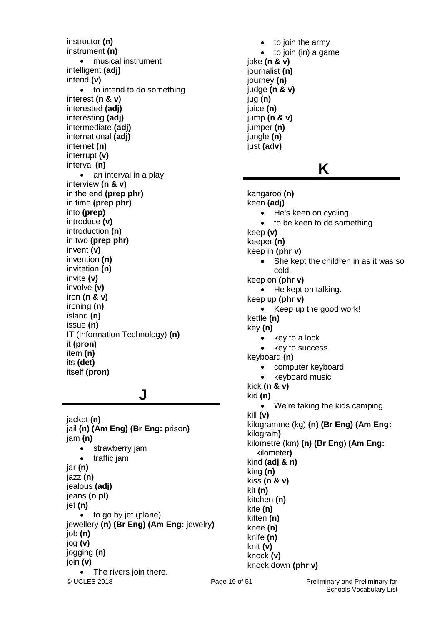instructor **(n)** instrument **(n)** musical instrument intelligent **(adj)** intend **(v)** • to intend to do something interest **(n & v)** interested **(adj)** interesting **(adj)** intermediate **(adj)** international **(adj)** internet **(n)** interrupt **(v)** interval **(n)** • an interval in a play interview **(n & v)** in the end **(prep phr)** in time **(prep phr)** into **(prep)** introduce **(v)** introduction **(n)** in two **(prep phr)** invent **(v)** invention **(n)** invitation **(n)** invite **(v)** involve **(v)** iron **(n & v)** ironing **(n)** island **(n)** issue **(n)** IT (Information Technology) **(n)** it **(pron)** item **(n)** its **(det)** itself **(pron)**

### **J**

© UCLES 2018 **Page 19 of 51** Preliminary and Preliminary for jacket **(n)** jail **(n) (Am Eng) (Br Eng:** prison**)** jam **(n)** • strawberry jam traffic jam jar **(n)** jazz **(n)** jealous **(adj)** jeans **(n pl)** jet **(n)** to go by jet (plane) jewellery **(n) (Br Eng) (Am Eng:** jewelry**)** job **(n)** jog **(v)** jogging **(n)** join **(v)** The rivers join there.

 to join the army  $\bullet$  to join (in) a game joke **(n & v)** journalist **(n)** journey **(n)** judge **(n & v)** jug **(n)** juice **(n)** jump **(n & v)** jumper **(n)** jungle **(n)** just **(adv)**

### **K**

kangaroo **(n)** keen **(adj)** • He's keen on cycling. to be keen to do something keep **(v)** keeper **(n)** keep in **(phr v)** • She kept the children in as it was so cold. keep on **(phr v)** • He kept on talking. keep up **(phr v)** • Keep up the good work! kettle **(n)** key **(n)**  $\bullet$  key to a lock • key to success keyboard **(n)** • computer keyboard keyboard music kick **(n & v)** kid **(n)** We're taking the kids camping. kill **(v)** kilogramme (kg) **(n) (Br Eng) (Am Eng:** kilogram**)** kilometre (km) **(n) (Br Eng) (Am Eng:**  kilometer**)** kind **(adj & n)** king **(n)** kiss **(n & v)** kit **(n)** kitchen **(n)** kite **(n)** kitten **(n)** knee **(n)** knife **(n)** knit **(v)** knock **(v)** knock down **(phr v)**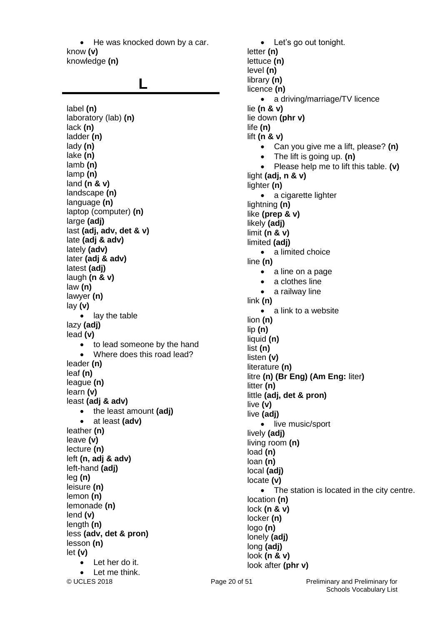• He was knocked down by a car. know **(v)** knowledge **(n)**

### **L**

© UCLES 2018 **Page 20 of 51** Preliminary and Preliminary for label **(n)** laboratory (lab) **(n)** lack **(n)** ladder **(n)** lady **(n)** lake **(n)** lamb **(n)** lamp **(n)** land **(n & v)** landscape **(n)** language **(n)** laptop (computer) **(n)** large **(adj)** last **(adj, adv, det & v)** late **(adj & adv)** lately **(adv)** later **(adj & adv)** latest **(adj)** laugh **(n & v)** law **(n)** lawyer **(n)** lay **(v)** • lav the table lazy **(adj)** lead **(v)** • to lead someone by the hand Where does this road lead? leader **(n)** leaf **(n)** league **(n)** learn **(v)** least **(adj & adv)** • the least amount (adj) at least **(adv)** leather **(n)** leave **(v)** lecture **(n)** left **(n, adj & adv)** left-hand **(adj)** leg **(n)** leisure **(n)** lemon **(n)** lemonade **(n)** lend **(v)** length **(n)** less **(adv, det & pron)** lesson **(n)** let **(v)** • Let her do it. Let me think.

 Let's go out tonight. letter **(n)** lettuce **(n)** level **(n)** library **(n)** licence **(n)** a driving/marriage/TV licence lie **(n & v)** lie down **(phr v)** life **(n)** lift **(n & v)** Can you give me a lift, please? **(n)** The lift is going up. **(n)** Please help me to lift this table. **(v)** light **(adj, n & v)** lighter **(n)** • a cigarette lighter lightning **(n)** like **(prep & v)** likely **(adj)** limit **(n & v)** limited **(adj)** • a limited choice line **(n)** • a line on a page • a clothes line a railway line link **(n)** • a link to a website lion **(n)** lip **(n)** liquid **(n)** list **(n)** listen **(v)** literature **(n)** litre **(n) (Br Eng) (Am Eng:** liter**)** litter **(n)** little **(adj, det & pron)** live **(v)** live **(adj)** • live music/sport lively **(adj)** living room **(n)**  load **(n)** loan **(n)** local **(adj)** locate **(v)** • The station is located in the city centre. location **(n)** lock **(n & v)** locker **(n)** logo **(n)** lonely **(adj)** long **(adj)** look **(n & v)** look after **(phr v)**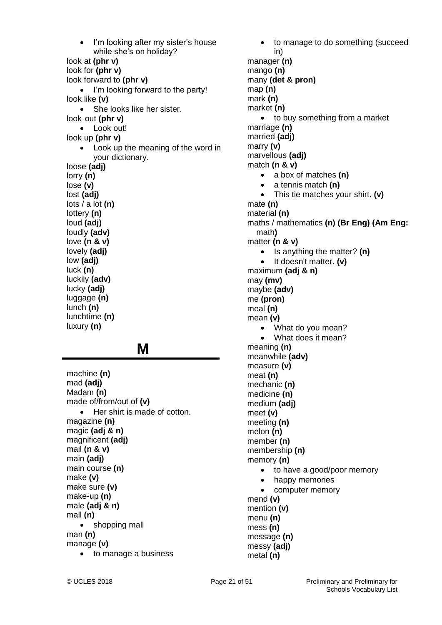I'm looking after my sister's house while she's on holiday? look at **(phr v)** look for **(phr v)** look forward to **(phr v)** • I'm looking forward to the party! look like **(v)** • She looks like her sister. look out **(phr v)** • Look out! look up **(phr v)** • Look up the meaning of the word in your dictionary. loose **(adj)** lorry **(n)** lose **(v)** lost **(adj)** lots / a lot **(n)** lottery **(n)** loud **(adj)** loudly **(adv)** love **(n & v)** lovely **(adj)** low **(adj)** luck **(n)** luckily **(adv)** lucky **(adj)** luggage **(n)** lunch **(n)** lunchtime **(n)** luxury **(n) M** machine **(n)**

mad **(adj)** Madam **(n)** made of/from/out of **(v)** • Her shirt is made of cotton. magazine **(n)** magic **(adj & n)** magnificent **(adj)** mail **(n & v)** main **(adj)** main course **(n)** make **(v)** make sure **(v)** make-up **(n)** male **(adj & n)** mall **(n)** • shopping mall man **(n)** manage **(v)** • to manage a business

• to manage to do something (succeed in) manager **(n)** mango **(n)** many **(det & pron)** map **(n)** mark **(n)** market **(n)** • to buy something from a market marriage **(n)** married **(adj)** marry **(v)** marvellous **(adj)** match **(n & v)** a box of matches **(n)** a tennis match **(n)** This tie matches your shirt. **(v)** mate **(n)** material **(n)** maths / mathematics **(n) (Br Eng) (Am Eng:** math**)** matter **(n & v)** • Is anything the matter? (n) • It doesn't matter. **(v)** maximum **(adj & n)** may **(mv)** maybe **(adv)** me **(pron)** meal **(n)** mean **(v)** • What do you mean? • What does it mean? meaning **(n)** meanwhile **(adv)** measure **(v)** meat **(n)** mechanic **(n)** medicine **(n)** medium **(adj)** meet **(v)** meeting **(n)** melon **(n)** member **(n)** membership **(n)** memory **(n)** • to have a good/poor memory • happy memories computer memory mend **(v)** mention **(v)** menu **(n)** mess **(n)** message **(n)** messy **(adj)** metal **(n)**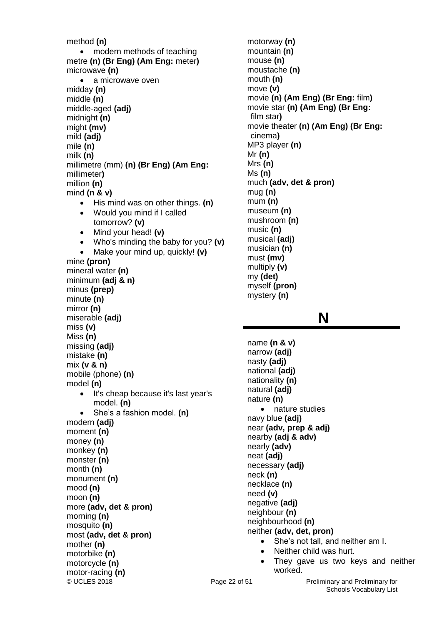© UCLES 2018 Page 22 of 51 Preliminary and Preliminary for method **(n)** • modern methods of teaching metre **(n) (Br Eng) (Am Eng:** meter**)** microwave **(n)** • a microwave oven midday **(n)** middle **(n)** middle-aged **(adj)** midnight **(n)** might **(mv)** mild **(adj)** mile **(n)** milk **(n)** millimetre (mm) **(n) (Br Eng) (Am Eng:**  millimeter**)** million **(n)** mind **(n & v)** • His mind was on other things. (n) Would you mind if I called tomorrow? **(v)** Mind your head! **(v)** Who's minding the baby for you? **(v)** Make your mind up, quickly! **(v)** mine **(pron)** mineral water **(n)** minimum **(adj & n)** minus **(prep)** minute **(n)** mirror **(n)** miserable **(adj)** miss **(v)** Miss **(n)** missing **(adj)** mistake **(n)** mix **(v & n)** mobile (phone) **(n)** model **(n)** • It's cheap because it's last year's model. **(n)** She's a fashion model. **(n)** modern **(adj)** moment **(n)** money **(n)** monkey **(n)** monster **(n)** month **(n)** monument **(n)** mood **(n)** moon **(n)** more **(adv, det & pron)** morning **(n)** mosquito **(n)** most **(adv, det & pron)** mother **(n)** motorbike **(n)** motorcycle **(n)** motor-racing **(n)**

motorway **(n)** mountain **(n)** mouse **(n)** moustache **(n)** mouth **(n)** move **(v)** movie **(n) (Am Eng) (Br Eng:** film**)** movie star **(n) (Am Eng) (Br Eng:**  film star**)** movie theater **(n) (Am Eng) (Br Eng:**  cinema**)** MP3 player **(n)** Mr **(n)** Mrs **(n)** Ms **(n)**  much **(adv, det & pron)** mug **(n)** mum **(n)** museum **(n)** mushroom **(n)** music **(n)** musical **(adj)** musician **(n)** must **(mv)** multiply **(v)** my **(det)** myself **(pron)** mystery **(n)**

### **N**

name **(n & v)** narrow **(adj)** nasty **(adj)** national **(adj)** nationality **(n)** natural **(adj)** nature **(n)** • nature studies navy blue **(adj)** near **(adv, prep & adj)** nearby **(adj & adv)** nearly **(adv)** neat **(adj)** necessary **(adj)** neck **(n)** necklace **(n)** need **(v)** negative **(adj)** neighbour **(n)** neighbourhood **(n)** neither **(adv, det, pron)** She's not tall, and neither am I. Neither child was hurt.

> • They gave us two keys and neither worked.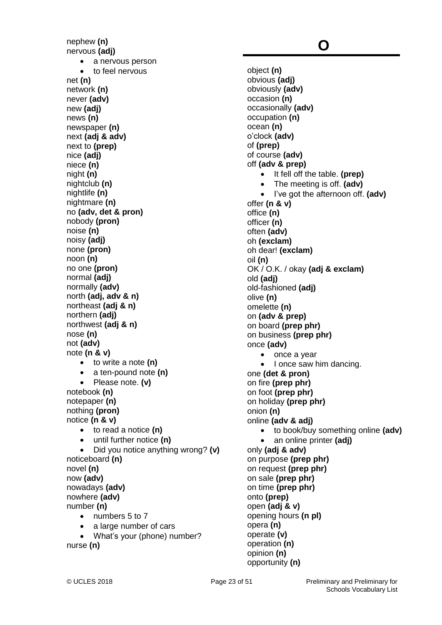nephew **(n)** nervous **(adj)** • a nervous person • to feel nervous net **(n)** network **(n)** never **(adv)** new **(adj)** news **(n)** newspaper **(n)** next **(adj & adv)** next to **(prep)** nice **(adj)** niece **(n)** night **(n)** nightclub **(n)** nightlife **(n)** nightmare **(n)** no **(adv, det & pron)** nobody **(pron)** noise **(n)** noisy **(adj)** none **(pron)** noon **(n)** no one **(pron)** normal **(adj)** normally **(adv)** north **(adj, adv & n)** northeast **(adj & n)** northern **(adj)** northwest **(adj & n)** nose **(n)** not **(adv)** note **(n & v)** to write a note **(n)** a ten-pound note **(n)** Please note. **(v)** notebook **(n)** notepaper **(n)** nothing **(pron)** notice **(n & v)** to read a notice **(n)** until further notice **(n)** Did you notice anything wrong? **(v)** noticeboard **(n)** novel **(n)** now **(adv)** nowadays **(adv)** nowhere **(adv)** number **(n)** • numbers 5 to 7 a large number of cars What's your (phone) number? nurse **(n)**

### **O**

object **(n)** obvious **(adj)** obviously **(adv)** occasion **(n)** occasionally **(adv)** occupation **(n)** ocean **(n)** o'clock **(adv)** of **(prep)** of course **(adv)** off **(adv & prep)** It fell off the table. **(prep)** The meeting is off. **(adv)** I've got the afternoon off. **(adv)** offer **(n & v)** office **(n)** officer **(n)** often **(adv)** oh **(exclam)** oh dear! **(exclam)** oil **(n)** OK / O.K. / okay **(adj & exclam)** old **(adj)** old-fashioned **(adj)** olive **(n)** omelette **(n)** on **(adv & prep)** on board **(prep phr)** on business **(prep phr)** once **(adv)** • once a year • I once saw him dancing. one **(det & pron)** on fire **(prep phr)** on foot **(prep phr)** on holiday **(prep phr)** onion **(n)** online **(adv & adj)** to book/buy something online **(adv)** an online printer **(adj)** only **(adj & adv)** on purpose **(prep phr)** on request **(prep phr)** on sale **(prep phr)** on time **(prep phr)** onto **(prep)** open **(adj & v)** opening hours **(n pl)** opera **(n)** operate **(v)** operation **(n)** opinion **(n)** opportunity **(n)**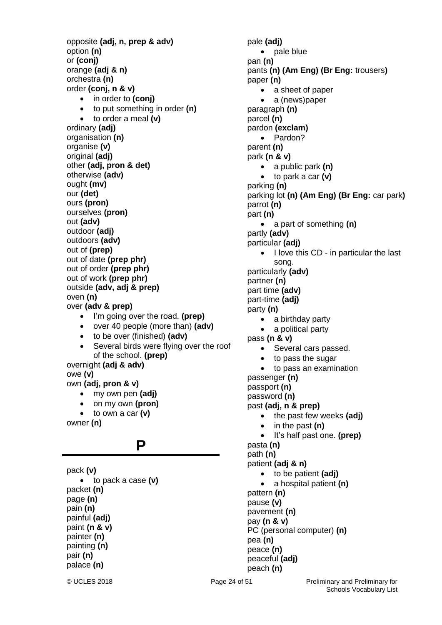opposite **(adj, n, prep & adv)** option **(n)** or **(conj)** orange **(adj & n)** orchestra **(n)** order **(conj, n & v)** • in order to **(conj)**  to put something in order **(n)** to order a meal **(v)** ordinary **(adj)** organisation **(n)** organise **(v)** original **(adj)** other **(adj, pron & det)** otherwise **(adv)** ought **(mv)** our **(det)** ours **(pron)** ourselves **(pron)** out **(adv)** outdoor **(adj)** outdoors **(adv)** out of **(prep)** out of date **(prep phr)** out of order **(prep phr)** out of work **(prep phr)** outside **(adv, adj & prep)** oven **(n)** over **(adv & prep)** I'm going over the road. **(prep)** over 40 people (more than) **(adv)** to be over (finished) **(adv)** Several birds were flying over the roof of the school. **(prep)** overnight **(adj & adv)** owe **(v)** own **(adj, pron & v)** my own pen **(adj)** on my own **(pron)** to own a car **(v)** owner **(n) P** pack **(v)** to pack a case **(v)** packet **(n)** page **(n)** pain **(n)** painful **(adj)** paint **(n & v)** painter **(n)**

pale **(adj)** • pale blue pan **(n)** pants **(n) (Am Eng) (Br Eng:** trousers**)** paper **(n)** • a sheet of paper a (news)paper paragraph **(n)** parcel **(n)** pardon **(exclam)** • Pardon? parent **(n)** park **(n & v)** a public park **(n)** to park a car **(v)** parking **(n)** parking lot **(n) (Am Eng) (Br Eng:** car park**)** parrot **(n)** part **(n)** a part of something **(n)** partly **(adv)** particular **(adj)** I love this CD - in particular the last song. particularly **(adv)** partner **(n)** part time **(adv)** part-time **(adj)** party **(n)** • a birthday party a political party pass **(n & v)** • Several cars passed. to pass the sugar to pass an examination passenger **(n)** passport **(n)** password **(n)** past **(adj, n & prep)** • the past few weeks (adj) in the past **(n)** It's half past one. **(prep)** pasta **(n)** path **(n)** patient **(adj & n)** to be patient **(adj)** a hospital patient **(n)** pattern **(n)** pause **(v)** pavement **(n)** pay **(n & v)** PC (personal computer) **(n)** pea **(n)** peace **(n)** peaceful **(adj)** peach **(n)**

painting **(n)** pair **(n)** palace **(n)**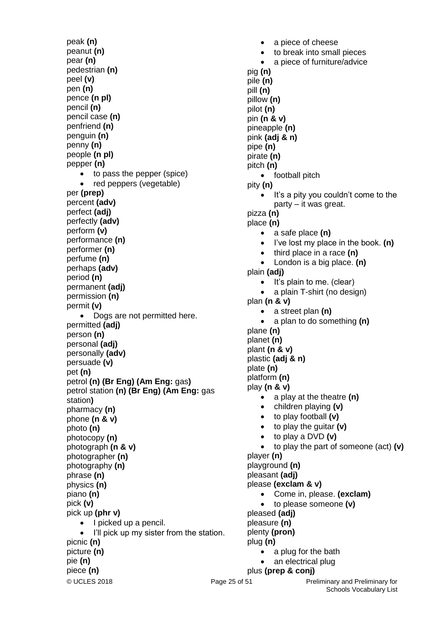peak **(n)** peanut **(n)** pear **(n)** pedestrian **(n)** peel **(v)** pen **(n)** pence **(n pl)** pencil **(n)** pencil case **(n)** penfriend **(n)** penguin **(n)** penny **(n)** people **(n pl)** pepper **(n)** • to pass the pepper (spice) red peppers (vegetable) per **(prep)** percent **(adv)** perfect **(adj)** perfectly **(adv)** perform **(v)** performance **(n)** performer **(n)** perfume **(n)** perhaps **(adv)** period **(n)** permanent **(adj)** permission **(n)** permit **(v)** Dogs are not permitted here. permitted **(adj)** person **(n)** personal **(adj)** personally **(adv)** persuade **(v)** pet **(n)** petrol **(n) (Br Eng) (Am Eng:** gas**)** petrol station **(n) (Br Eng) (Am Eng:** gas station**)** pharmacy **(n)** phone **(n & v)** photo **(n)** photocopy **(n)** photograph **(n & v)** photographer **(n)** photography **(n)** phrase **(n)** physics **(n)** piano **(n)** pick **(v)** pick up **(phr v)**  $\bullet$  I picked up a pencil. I'll pick up my sister from the station. picnic **(n)** picture **(n)** pie **(n)** piece **(n)**

© UCLES 2018 **Page 25 of 51** Preliminary and Preliminary for Schools Vocabulary List • a piece of cheese to break into small pieces a piece of furniture/advice pig **(n)** pile **(n)** pill **(n)** pillow **(n)** pilot **(n)** pin **(n & v)** pineapple **(n)** pink **(adj & n)** pipe **(n)** pirate **(n)** pitch **(n)** • football pitch pity **(n)**  $\bullet$  It's a pity you couldn't come to the party – it was great. pizza **(n)** place **(n)** a safe place **(n)** I've lost my place in the book. **(n)** third place in a race **(n)** London is a big place. **(n)** plain **(adj)**  $\bullet$  It's plain to me. (clear) a plain T-shirt (no design) plan **(n & v)** a street plan **(n)** a plan to do something **(n)** plane **(n)**  planet **(n)** plant **(n & v)** plastic **(adj & n)** plate **(n)** platform **(n)** play **(n & v)** a play at the theatre **(n)** children playing **(v)** to play football **(v)** to play the guitar **(v)** to play a DVD **(v)** to play the part of someone (act) **(v)** player **(n)** playground **(n)** pleasant **(adj)** please **(exclam & v)** Come in, please. **(exclam)** to please someone **(v)** pleased **(adj)** pleasure **(n)** plenty **(pron)** plug **(n)** a plug for the bath an electrical plug plus **(prep & conj)**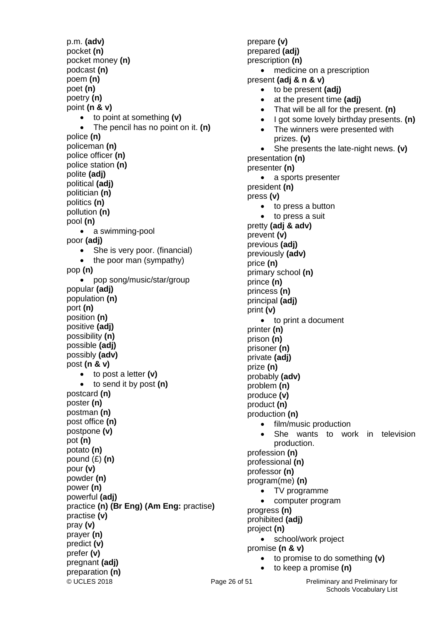© UCLES 2018 **Page 26 of 51** Preliminary and Preliminary for p.m. **(adv)** pocket **(n)** pocket money **(n)** podcast **(n)** poem **(n)** poet **(n)** poetry **(n)** point **(n & v)** to point at something **(v)** The pencil has no point on it. **(n)** police **(n)** policeman **(n)** police officer **(n)** police station **(n)** polite **(adj)** political **(adj)**  politician **(n)**  politics **(n)** pollution **(n)**  pool **(n)** • a swimming-pool poor **(adj)** • She is very poor. (financial)  $\bullet$  the poor man (sympathy) pop **(n)** pop song/music/star/group popular **(adj)** population **(n)** port **(n)** position **(n)** positive **(adj)** possibility **(n)** possible **(adj)** possibly **(adv)** post **(n & v)** to post a letter **(v)** to send it by post **(n)** postcard **(n)** poster **(n)** postman **(n)** post office **(n)** postpone **(v)** pot **(n)** potato **(n)** pound (£) **(n)** pour **(v)** powder **(n)** power **(n)** powerful **(adj)** practice **(n) (Br Eng) (Am Eng:** practise**)** practise **(v)**  pray **(v)** prayer **(n)** predict **(v)** prefer **(v)** pregnant **(adj)** preparation **(n)**

prepare **(v)** prepared **(adj)** prescription **(n)** medicine on a prescription present **(adj & n & v)** to be present **(adj)** at the present time **(adj)** That will be all for the present. **(n)** I got some lovely birthday presents. **(n)** • The winners were presented with prizes. **(v)** She presents the late-night news. **(v)** presentation **(n)** presenter **(n)** • a sports presenter president **(n)** press **(v)** • to press a button to press a suit pretty **(adj & adv)** prevent **(v)** previous **(adj)** previously **(adv)** price **(n)** primary school **(n)** prince **(n)** princess **(n)** principal **(adj)** print **(v)** to print a document printer **(n)** prison **(n)** prisoner **(n)** private **(adj)** prize **(n)** probably **(adv)** problem **(n)** produce **(v)** product **(n)** production **(n)** film/music production She wants to work in television production. profession **(n)** professional **(n)** professor **(n)** program(me) **(n)** TV programme computer program progress **(n)** prohibited **(adj)** project **(n)** • school/work project promise **(n & v)** to promise to do something **(v)** to keep a promise **(n)**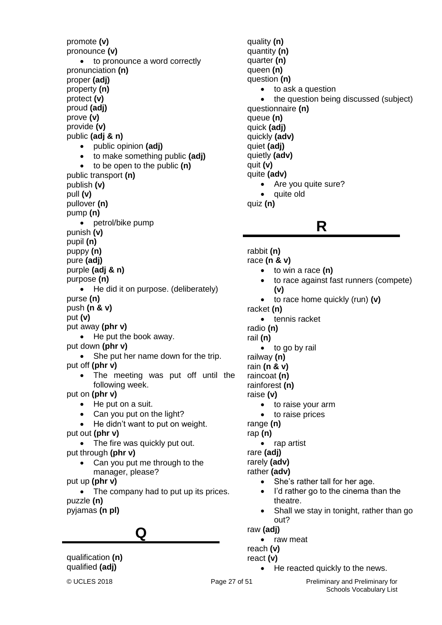promote **(v)** pronounce **(v)** • to pronounce a word correctly pronunciation **(n)** proper **(adj)** property **(n)** protect **(v)** proud **(adj)** prove **(v)** provide **(v)** public **(adj & n)** public opinion **(adj)** to make something public **(adj)** to be open to the public **(n)** public transport **(n)** publish **(v)** pull **(v)** pullover **(n)** pump **(n)** • petrol/bike pump punish **(v)** pupil **(n)** puppy **(n)** pure **(adj)** purple **(adj & n)** purpose **(n)** • He did it on purpose. (deliberately) purse **(n)** push **(n & v)** put **(v)** put away **(phr v)** • He put the book away. put down **(phr v)** • She put her name down for the trip. put off **(phr v)** • The meeting was put off until the following week. put on **(phr v)** • He put on a suit. • Can you put on the light? • He didn't want to put on weight. put out **(phr v)** • The fire was quickly put out. put through **(phr v)** • Can you put me through to the manager, please? put up **(phr v)** • The company had to put up its prices. puzzle **(n)** pyjamas **(n pl) Q** qualification **(n)**

quality **(n)** quantity **(n)** quarter **(n)** queen **(n)** question **(n)** • to ask a question • the question being discussed (subject) questionnaire **(n)** queue **(n)** quick **(adj)** quickly **(adv)** quiet **(adj)** quietly **(adv)** quit **(v)**  quite **(adv)** • Are you quite sure? • quite old quiz **(n)**

**R** rabbit **(n)** race **(n & v)** to win a race **(n)** to race against fast runners (compete) **(v)** to race home quickly (run) **(v)** racket **(n)** • tennis racket radio **(n)** rail **(n)** • to go by rail railway **(n)** rain **(n & v)** raincoat **(n)** rainforest **(n)** raise **(v)** • to raise your arm • to raise prices range **(n)** rap **(n)** • rap artist rare **(adj)** rarely **(adv)** rather **(adv)** • She's rather tall for her age. I'd rather go to the cinema than the theatre. Shall we stay in tonight, rather than go out? raw **(adj)** • raw meat reach **(v)**

- react **(v)**
	- He reacted quickly to the news.

qualified **(adj)**

© UCLES 2018 **Page 27 of 51** Preliminary and Preliminary for Schools Vocabulary List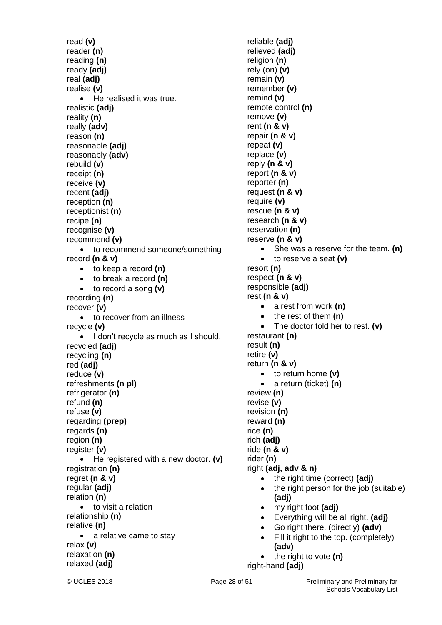read **(v)** reader **(n)** reading **(n)** ready **(adj)** real **(adj)** realise **(v)** • He realised it was true. realistic **(adj)** reality **(n)** really **(adv)** reason **(n)** reasonable **(adj)** reasonably **(adv)** rebuild **(v)** receipt **(n)** receive **(v)** recent **(adj)** reception **(n)** receptionist **(n)** recipe **(n)** recognise **(v)** recommend **(v)** • to recommend someone/something record **(n & v)** to keep a record **(n)** to break a record **(n)** to record a song **(v)** recording **(n)** recover **(v)** • to recover from an illness recycle **(v)** • I don't recycle as much as I should. recycled **(adj)** recycling **(n)** red **(adj)** reduce **(v)** refreshments **(n pl)** refrigerator **(n)** refund **(n)** refuse **(v)** regarding **(prep)** regards **(n)** region **(n)** register **(v)** He registered with a new doctor. **(v)** registration **(n)** regret **(n & v)** regular **(adj)** relation **(n)** • to visit a relation relationship **(n)** relative **(n)** • a relative came to stav relax **(v)** relaxation **(n)** relaxed **(adj)**

reliable **(adj)** relieved **(adj)** religion **(n)** rely (on) **(v)** remain **(v)** remember **(v)** remind **(v)** remote control **(n)** remove **(v)** rent **(n & v)** repair **(n & v)** repeat **(v)** replace **(v)** reply **(n & v)** report **(n & v)** reporter **(n)** request **(n & v)** require **(v)** rescue **(n & v)** research **(n & v)** reservation **(n)** reserve **(n & v)** She was a reserve for the team. **(n)** to reserve a seat **(v)** resort **(n)** respect **(n & v)** responsible **(adj)** rest **(n & v)** a rest from work **(n)** • the rest of them (n) The doctor told her to rest. **(v)** restaurant **(n)** result **(n)** retire **(v)** return **(n & v)** to return home **(v)** a return (ticket) **(n)** review **(n)** revise **(v)** revision **(n)** reward **(n)** rice **(n)** rich **(adj)** ride **(n & v)** rider **(n)** right **(adj, adv & n)** • the right time (correct) (adj) • the right person for the job (suitable) **(adj)** my right foot **(adj)** Everything will be all right. **(adj)** Go right there. (directly) **(adv)** Fill it right to the top. (completely) **(adv)** the right to vote **(n)** right-hand **(adj)**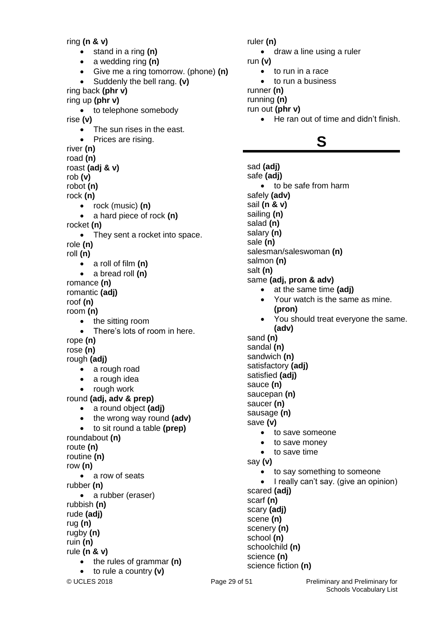ring **(n & v)** stand in a ring **(n)** a wedding ring **(n)** Give me a ring tomorrow. (phone) **(n)** Suddenly the bell rang. **(v)** ring back **(phr v)** ring up **(phr v)** • to telephone somebody rise **(v)** • The sun rises in the east. Prices are rising. river **(n)** road **(n)** roast **(adj & v)** rob **(v)** robot **(n)** rock **(n)** rock (music) **(n)** a hard piece of rock **(n)** rocket **(n)** • They sent a rocket into space. role **(n)** roll **(n)** a roll of film **(n)** a bread roll **(n)** romance **(n)** romantic **(adj)** roof **(n)** room **(n)** • the sitting room There's lots of room in here. rope **(n)** rose **(n)** rough **(adj)** • a rough road • a rough idea • rough work round **(adj, adv & prep)** a round object **(adj)** • the wrong way round (adv) to sit round a table **(prep)** roundabout **(n)** route **(n)** routine **(n)** row **(n)** • a row of seats rubber **(n)** • a rubber (eraser) rubbish **(n)** rude **(adj)** rug **(n)** rugby **(n)** ruin **(n)** rule **(n & v)** • the rules of grammar (n) to rule a country **(v)**

ruler **(n)** • draw a line using a ruler run **(v)** to run in a race to run a business runner **(n)** running **(n)** run out **(phr v)** He ran out of time and didn't finish. **S** sad **(adj)** safe **(adj)** to be safe from harm safely **(adv)** sail **(n & v)** sailing **(n)** salad **(n)** salary **(n)** sale **(n)** salesman/saleswoman **(n)** salmon **(n)** salt **(n)** same **(adj, pron & adv)** at the same time **(adj)** • Your watch is the same as mine. **(pron)**  You should treat everyone the same. **(adv)** sand **(n)** sandal **(n)** sandwich **(n)** satisfactory **(adj)** satisfied **(adj)** sauce **(n)** saucepan **(n)** saucer **(n)**

- sausage **(n)** save **(v)**
	- to save someone
	- to save money
	- to save time

say **(v)**

- to say something to someone
- I really can't say. (give an opinion) scared **(adj)**

scarf **(n)** scary **(adj)** scene **(n)**

scenery **(n)** school **(n)** schoolchild **(n)** science **(n)** science fiction **(n)**

© UCLES 2018 **Page 29 of 51** Preliminary and Preliminary for Schools Vocabulary List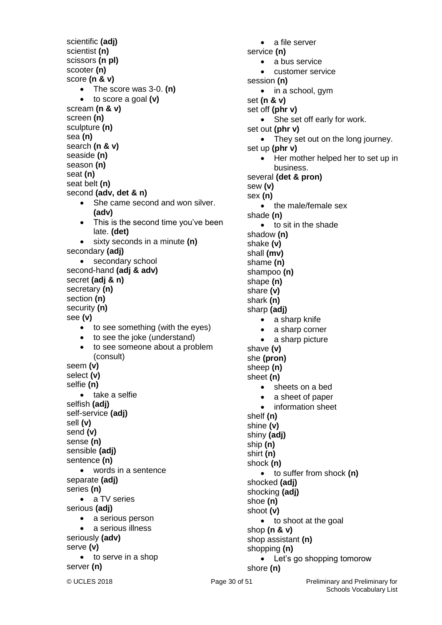© UCLES 2018 **Page 30 of 51** Preliminary and Preliminary for scientific **(adj)** scientist **(n)** scissors **(n pl)** scooter **(n)** score **(n & v)** The score was 3-0. **(n)** to score a goal **(v)** scream **(n & v)** screen **(n)** sculpture **(n)** sea **(n)** search **(n & v)** seaside **(n)** season **(n)** seat **(n)** seat belt **(n)** second **(adv, det & n)** • She came second and won silver. **(adv)** • This is the second time you've been late. **(det)** sixty seconds in a minute **(n)** secondary **(adj)** • secondary school second-hand **(adj & adv)** secret **(adj & n)** secretary **(n)** section **(n)** security **(n)** see **(v)** • to see something (with the eyes) • to see the joke (understand) • to see someone about a problem (consult) seem **(v)** select **(v)** selfie **(n)** • take a selfie selfish **(adj)** self-service **(adj)** sell **(v)** send **(v)** sense **(n)** sensible **(adj)** sentence **(n)** words in a sentence separate **(adj)** series **(n)** • a TV series serious **(adj)** • a serious person • a serious illness seriously **(adv)** serve **(v)** • to serve in a shop server **(n)**

• a file server service **(n)** • a bus service customer service session **(n)**  $\bullet$  in a school, gym set **(n & v)** set off **(phr v)** • She set off early for work. set out **(phr v)** • They set out on the long journey. set up **(phr v)** • Her mother helped her to set up in business. several **(det & pron)** sew **(v)** sex **(n)** • the male/female sex shade **(n)** • to sit in the shade shadow **(n)** shake **(v)** shall **(mv)** shame **(n)** shampoo **(n)** shape **(n)** share **(v)** shark **(n)** sharp **(adj)** • a sharp knife • a sharp corner • a sharp picture shave **(v)** she **(pron)** sheep **(n)** sheet **(n)** • sheets on a bed • a sheet of paper • information sheet shelf **(n)** shine **(v)** shiny **(adj)** ship **(n)** shirt **(n)** shock **(n)** to suffer from shock **(n)** shocked **(adj)** shocking **(adj)** shoe **(n)** shoot **(v)** • to shoot at the goal shop **(n & v)**  shop assistant **(n)**  shopping **(n)** • Let's go shopping tomorow shore **(n)**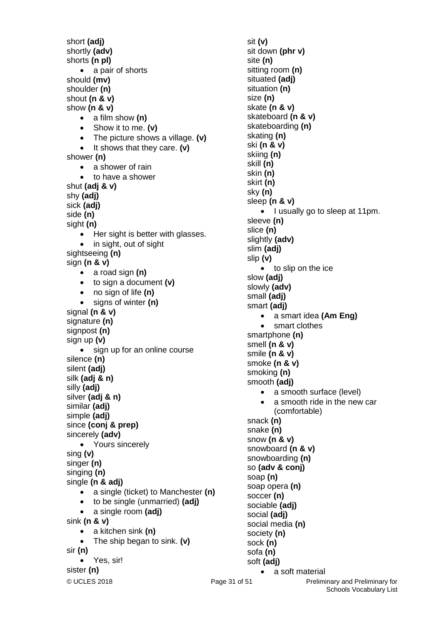© UCLES 2018 **Page 31 of 51** Preliminary and Preliminary for short **(adj)** shortly **(adv)** shorts **(n pl)** • a pair of shorts should **(mv)** shoulder **(n)**  shout **(n & v)**  show **(n & v)** a film show **(n)** Show it to me. **(v)** The picture shows a village. **(v)** • It shows that they care. **(v)** shower **(n)** • a shower of rain • to have a shower shut **(adj & v)** shy **(adj)** sick **(adj)** side **(n)** sight **(n)** • Her sight is better with glasses. • in sight, out of sight sightseeing **(n)** sign **(n & v)** a road sign **(n)** to sign a document **(v)** no sign of life **(n)** signs of winter **(n)** signal **(n & v)** signature **(n)** signpost **(n)** sign up **(v)** • sign up for an online course silence **(n)** silent **(adj)** silk **(adj & n)** silly **(adj)** silver **(adj & n)** similar **(adj)** simple **(adj)** since **(conj & prep)** sincerely **(adv)** • Yours sincerely sing **(v)** singer **(n)** singing **(n)** single **(n & adj)** a single (ticket) to Manchester **(n)** to be single (unmarried) **(adj)** a single room **(adj)** sink **(n & v)** a kitchen sink **(n)** The ship began to sink. **(v)** sir **(n)** Yes, sir! sister **(n)**

sit **(v)** sit down **(phr v)** site **(n)** sitting room **(n)** situated **(adj)** situation **(n)** size **(n)** skate **(n & v)** skateboard **(n & v)** skateboarding **(n)** skating **(n)** ski **(n & v)** skiing **(n)** skill **(n)** skin **(n)** skirt **(n)** sky **(n)** sleep **(n & v)** • I usually go to sleep at 11pm. sleeve **(n)** slice **(n)** slightly **(adv)** slim **(adj)** slip **(v)** • to slip on the ice slow **(adj)** slowly **(adv)** small **(adj)** smart **(adj)** a smart idea **(Am Eng)** • smart clothes smartphone **(n)** smell **(n & v)** smile **(n & v)** smoke **(n & v)** smoking **(n)** smooth **(adj)** • a smooth surface (level) a smooth ride in the new car (comfortable) snack **(n)** snake **(n)** snow **(n & v)** snowboard **(n & v)** snowboarding **(n)** so **(adv & conj)** soap **(n)** soap opera **(n)** soccer **(n)** sociable **(adj)** social **(adj)** social media **(n)** society **(n)** sock **(n)** sofa **(n)** soft **(adj)** • a soft material

Schools Vocabulary List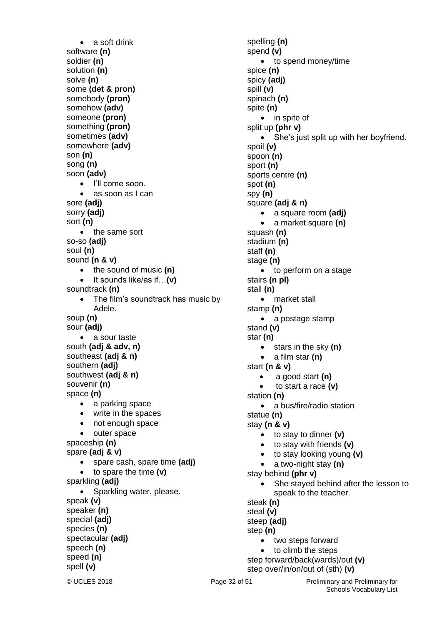• a soft drink software **(n)** soldier **(n)** solution **(n)** solve **(n)** some **(det & pron)** somebody **(pron)** somehow **(adv)** someone **(pron)** something **(pron)** sometimes **(adv)** somewhere **(adv)** son **(n)** song **(n)** soon **(adv)** • I'll come soon. as soon as I can sore **(adj)** sorry **(adj)** sort **(n)** • the same sort so-so **(adj)** soul **(n)** sound **(n & v)** • the sound of music (n) It sounds like/as if…**(v)** soundtrack **(n)** The film's soundtrack has music by Adele. soup **(n)** sour **(adj)** a sour taste south **(adj & adv, n)** southeast **(adj & n)** southern **(adj)** southwest **(adj & n)** souvenir **(n)** space **(n)** • a parking space • write in the spaces • not enough space • outer space spaceship **(n)** spare **(adj & v)** spare cash, spare time **(adj)** to spare the time **(v)** sparkling **(adj)** • Sparkling water, please. speak **(v)** speaker **(n)** special **(adj)** species **(n)** spectacular **(adj)** speech **(n)** speed **(n)** spell **(v)**

spelling **(n)** spend **(v)** • to spend money/time spice **(n)** spicy **(adj)** spill **(v)** spinach **(n)** spite **(n)** • in spite of split up **(phr v)** She's just split up with her boyfriend. spoil **(v)** spoon **(n)** sport **(n)** sports centre **(n)** spot **(n)** spy **(n)** square **(adj & n)** a square room **(adj)** a market square **(n)** squash **(n)** stadium **(n)** staff **(n)** stage **(n)** • to perform on a stage stairs **(n pl)** stall **(n)** • market stall stamp **(n)** • a postage stamp stand **(v)** star **(n)** stars in the sky **(n)** a film star **(n)** start **(n & v)** a good start **(n)** to start a race **(v)** station **(n)** • a bus/fire/radio station statue **(n)** stay **(n & v)** to stay to dinner **(v)** to stay with friends **(v)** to stay looking young **(v)** a two-night stay **(n)** stay behind **(phr v)** She stayed behind after the lesson to speak to the teacher. steak **(n)** steal **(v)** steep **(adj)** step **(n)** • two steps forward to climb the steps step forward/back(wards)/out **(v)** step over/in/on/out of (sth) **(v)**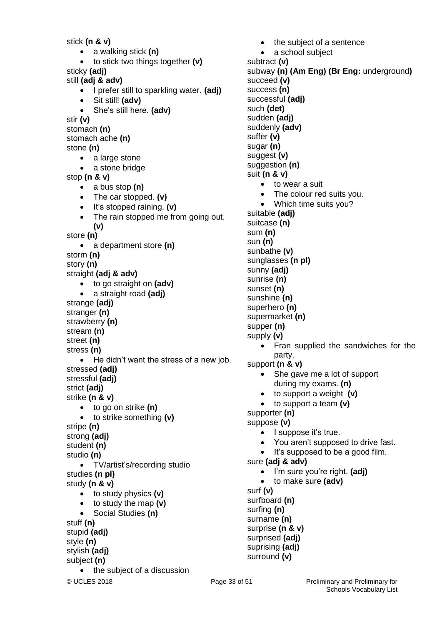© UCLES 2018 **Page 33 of 51** Preliminary and Preliminary for stick **(n & v)** a walking stick **(n)** to stick two things together **(v)** sticky **(adj)** still **(adj & adv)** I prefer still to sparkling water. **(adj)** Sit still! **(adv)** She's still here. **(adv)** stir **(v)** stomach **(n)** stomach ache **(n)** stone **(n)** • a large stone • a stone bridge stop **(n & v)** a bus stop **(n)** The car stopped. **(v)** • It's stopped raining. (v) • The rain stopped me from going out. **(v)** store **(n)** a department store **(n)** storm **(n)** story **(n)** straight **(adj & adv)** to go straight on **(adv)** a straight road **(adj)** strange **(adj)** stranger **(n)** strawberry **(n)** stream **(n)** street **(n)** stress **(n)** • He didn't want the stress of a new job. stressed **(adj)** stressful **(adj)** strict **(adj)** strike **(n & v)** to go on strike **(n)** to strike something **(v)** stripe **(n)** strong **(adj)** student **(n)** studio **(n)** TV/artist's/recording studio studies **(n pl)** study **(n & v)** to study physics **(v)** to study the map **(v)** Social Studies **(n)** stuff **(n)** stupid **(adj)** style **(n)** stylish **(adj)** subject **(n)** • the subject of a discussion such **(det)** suffer **(v)** sugar **(n)** sum **(n)** sun **(n)** sunset **(n)** supper **(n)** supply **(v)** surf **(v)** surfing **(n)** surprised **(adj)** suprising **(adj)** surround **(v)**

 the subject of a sentence • a school subject subtract **(v)** subway **(n) (Am Eng) (Br Eng:** underground**)** succeed **(v)** success **(n)** successful **(adj)** sudden **(adj)** suddenly **(adv)** suggest **(v)** suggestion **(n)** suit **(n & v)** • to wear a suit The colour red suits you. • Which time suits you? suitable **(adj)** suitcase **(n)** sunbathe **(v)** sunglasses **(n pl)** sunny **(adj)** sunrise **(n)** sunshine **(n)** superhero **(n)** supermarket **(n)** • Fran supplied the sandwiches for the party. support **(n & v)** • She gave me a lot of support during my exams. **(n)** to support a weight **(v)** to support a team **(v)** supporter **(n)** suppose **(v)** • I suppose it's true. You aren't supposed to drive fast. • It's supposed to be a good film. sure **(adj & adv)** I'm sure you're right. **(adj)** to make sure **(adv)** surfboard **(n)** surname **(n)** surprise **(n & v)**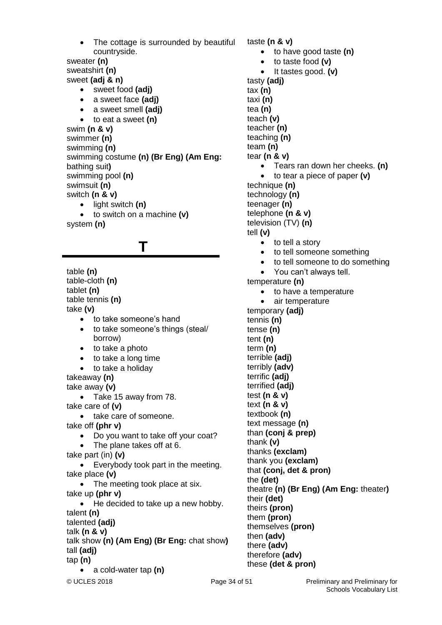© UCLES 2018 **Page 34 of 51** Preliminary and Preliminary for sweater **(n)** sweatshirt **(n)** sweet **(adj & n)** sweet food **(adj)** a sweet face **(adj)** a sweet smell **(adj)** to eat a sweet **(n)** swim **(n & v)** swimmer **(n)** swimming **(n)** swimming costume **(n) (Br Eng) (Am Eng:**  bathing suit**)** swimming pool **(n)** swimsuit **(n)** switch **(n & v)** light switch **(n)** to switch on a machine **(v)** system **(n) T** table **(n)** table-cloth **(n)** tablet **(n)** table tennis **(n)** take **(v)** • to take someone's hand to take someone's things (steal/ borrow)  $\bullet$  to take a photo • to take a long time • to take a holiday takeaway **(n)** take away **(v)** • Take 15 away from 78. take care of **(v)** • take care of someone. take off **(phr v)** • Do you want to take off your coat? • The plane takes off at 6. take part (in) **(v)** • Everybody took part in the meeting. take place **(v)** • The meeting took place at six. take up **(phr v)** • He decided to take up a new hobby. talent **(n)** talented **(adj)** talk **(n & v)** talk show **(n) (Am Eng) (Br Eng:** chat show**)** tall **(adj)** tap **(n)** a cold-water tap **(n)**

The cottage is surrounded by beautiful

countryside.

taste **(n & v)** to have good taste **(n)** to taste food **(v)** • It tastes good. (v) tasty **(adj)** tax **(n)** taxi **(n)** tea **(n)** teach **(v)** teacher **(n)** teaching **(n)** team **(n)** tear **(n & v)** Tears ran down her cheeks. **(n)** to tear a piece of paper **(v)** technique **(n)** technology **(n)** teenager **(n)** telephone **(n & v)** television (TV) **(n)** tell **(v)** • to tell a story • to tell someone something • to tell someone to do something You can't always tell. temperature **(n)** • to have a temperature • air temperature temporary **(adj)** tennis **(n)** tense **(n)** tent **(n)** term **(n)** terrible **(adj)** terribly **(adv)** terrific **(adj)** terrified **(adj)** test **(n & v)** text **(n & v)** textbook **(n)** text message **(n)** than **(conj & prep)** thank **(v)** thanks **(exclam)** thank you **(exclam)** that **(conj, det & pron)** the **(det)** theatre **(n) (Br Eng) (Am Eng:** theater**)** their **(det)** theirs **(pron)** them **(pron)** themselves **(pron)** then **(adv)** there **(adv)** therefore **(adv)** these **(det & pron)**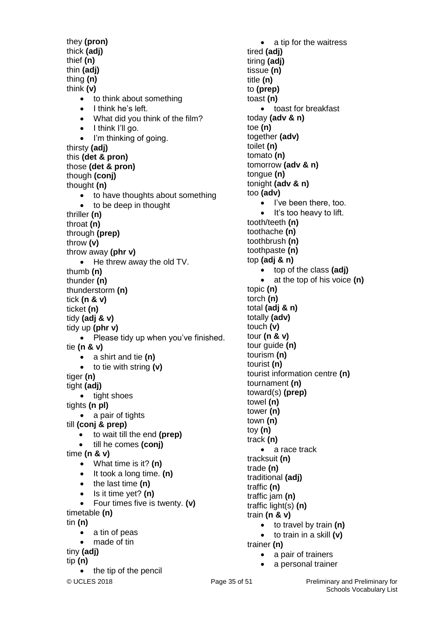© UCLES 2018 **Page 35 of 51** Preliminary and Preliminary for they **(pron)** thick **(adj)** thief **(n)** thin **(adj)** thing **(n)** think **(v)** • to think about something  $\bullet$  I think he's left. What did you think of the film?  $\bullet$  I think I'll go. • I'm thinking of going. thirsty **(adj)** this **(det & pron)** those **(det & pron)** though **(conj)** thought **(n)** • to have thoughts about something • to be deep in thought thriller **(n)** throat **(n)** through **(prep)** throw **(v)** throw away **(phr v)** • He threw away the old TV. thumb **(n)** thunder **(n)** thunderstorm **(n)** tick **(n & v)** ticket **(n)** tidy **(adj & v)** tidy up **(phr v)** • Please tidy up when you've finished. tie **(n & v)** a shirt and tie **(n)** to tie with string **(v)** tiger **(n)** tight **(adj)** • tight shoes tights **(n pl)** • a pair of tights till **(conj & prep)** to wait till the end **(prep)** till he comes **(conj)** time **(n & v)** What time is it? **(n)** • It took a long time. (n) • the last time (n) • Is it time yet? (n) Four times five is twenty. **(v)** timetable **(n)** tin **(n)** a tin of peas made of tin tiny **(adj)** tip **(n)** the tip of the pencil

• a tip for the waitress tired **(adj)** tiring **(adj)** tissue **(n)** title **(n)** to **(prep)** toast **(n)** • toast for breakfast today **(adv & n)** toe **(n)** together **(adv)** toilet **(n)** tomato **(n)** tomorrow **(adv & n)** tongue **(n)** tonight **(adv & n)** too **(adv)** • I've been there, too.  $\bullet$  It's too heavy to lift. tooth/teeth **(n)** toothache **(n)** toothbrush **(n)** toothpaste **(n)** top **(adj & n)** top of the class **(adj)** at the top of his voice **(n)** topic **(n)** torch **(n)** total **(adj & n)** totally **(adv)** touch **(v)** tour **(n & v)** tour guide **(n)** tourism **(n)** tourist **(n)** tourist information centre **(n)** tournament **(n)** toward(s) **(prep)** towel **(n)** tower **(n)** town **(n)** toy **(n)** track **(n)** • a race track tracksuit **(n)** trade **(n)** traditional **(adj)** traffic **(n)** traffic jam **(n)** traffic light(s) **(n)** train **(n & v)** to travel by train **(n)** to train in a skill **(v)** trainer **(n)** • a pair of trainers

a personal trainer

Schools Vocabulary List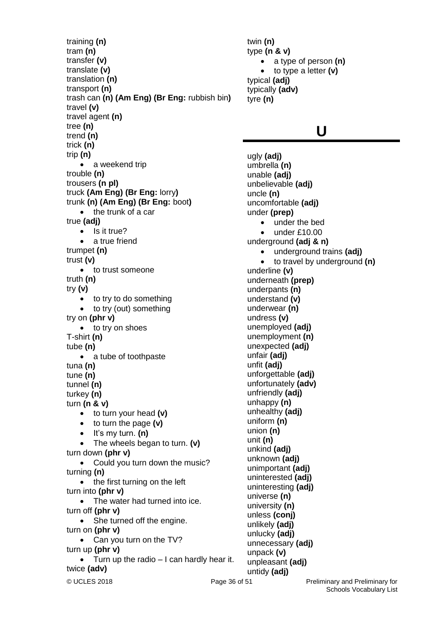training **(n)** tram **(n)** transfer **(v)** translate **(v)** translation **(n)** transport **(n)** trash can **(n) (Am Eng) (Br Eng:** rubbish bin**)** travel **(v)** travel agent **(n)** tree **(n)** trend **(n)** trick **(n)** trip **(n)** • a weekend trip trouble **(n)** trousers **(n pl)** truck **(Am Eng) (Br Eng:** lorry**)** trunk **(n) (Am Eng) (Br Eng:** boot**)**  $\bullet$  the trunk of a car true **(adj)**  $\bullet$  Is it true? a true friend trumpet **(n)** trust **(v)** • to trust someone truth **(n)** try **(v)** • to try to do something • to try (out) something try on **(phr v)** • to try on shoes T-shirt **(n)** tube **(n)** • a tube of toothpaste tuna **(n)** tune **(n)** tunnel **(n)** turkey **(n)** turn **(n & v)** to turn your head **(v)** to turn the page **(v)**  $\bullet$  It's my turn.  $(n)$  The wheels began to turn. **(v)** turn down **(phr v)** • Could you turn down the music? turning **(n)** • the first turning on the left turn into **(phr v)** • The water had turned into ice. turn off **(phr v)** • She turned off the engine. turn on **(phr v)** • Can you turn on the TV? turn up **(phr v)**  $\bullet$  Turn up the radio  $-1$  can hardly hear it. twice **(adv)**

twin **(n)** type **(n & v)** a type of person **(n)**  to type a letter **(v)** typical **(adj)** typically **(adv)** tyre **(n)**

### **U**

ugly **(adj)** umbrella **(n)** unable **(adj)** unbelievable **(adj)** uncle **(n)** uncomfortable **(adj)** under **(prep)** under the bed  $\bullet$  under £10.00 underground **(adj & n)** underground trains **(adj)** to travel by underground **(n)** underline **(v)** underneath **(prep)** underpants **(n)** understand **(v)** underwear **(n)** undress **(v)** unemployed **(adj)** unemployment **(n)** unexpected **(adj)** unfair **(adj)** unfit **(adj)** unforgettable **(adj)** unfortunately **(adv)** unfriendly **(adj)** unhappy **(n)** unhealthy **(adj)** uniform **(n)** union **(n)** unit **(n)** unkind **(adj)** unknown **(adj)** unimportant **(adj)** uninterested **(adj)** uninteresting **(adj)** universe **(n)** university **(n)** unless **(conj)** unlikely **(adj)** unlucky **(adj)** unnecessary **(adj)** unpack **(v)** unpleasant **(adj)**

untidy **(adj)**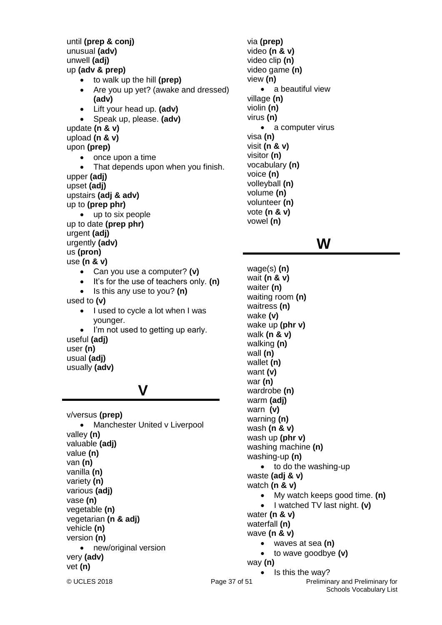until **(prep & conj)** unusual **(adv)** unwell **(adj)** up **(adv & prep)** to walk up the hill **(prep)** Are you up yet? (awake and dressed) **(adv)** Lift your head up. **(adv)** Speak up, please. **(adv)** update **(n & v)** upload **(n & v)** upon **(prep)** once upon a time That depends upon when you finish. upper **(adj)** upset **(adj)** upstairs **(adj & adv)** up to **(prep phr)** up to six people up to date **(prep phr)** urgent **(adj)** urgently **(adv)** us **(pron)** use **(n & v)** Can you use a computer? **(v)** It's for the use of teachers only. **(n)** • Is this any use to you? (n) used to **(v)** • I used to cycle a lot when I was younger. • I'm not used to getting up early. useful **(adj)** user **(n)** usual **(adj)** usually **(adv)**

### **V**

v/versus **(prep)** • Manchester United v Liverpool valley **(n)** valuable **(adj)** value **(n)** van **(n)** vanilla **(n)** variety **(n)** various **(adj)** vase **(n)** vegetable **(n)** vegetarian **(n & adj)** vehicle **(n)** version **(n)** • new/original version very **(adv)** vet **(n)**

via **(prep)** video **(n & v)** video clip **(n)** video game **(n)** view **(n)** • a beautiful view village **(n)** violin **(n)** virus **(n)** • a computer virus visa **(n)** visit **(n & v)** visitor **(n)** vocabulary **(n)** voice **(n)** volleyball **(n)** volume **(n)** volunteer **(n)** vote **(n & v)** vowel **(n)**

### **W**

© UCLES 2018 **Page 37 of 51** Preliminary and Preliminary for Schools Vocabulary List wage(s) **(n)** wait **(n & v)** waiter **(n)** waiting room **(n)** waitress **(n)** wake **(v)** wake up **(phr v)** walk **(n & v)** walking **(n)** wall **(n)** wallet **(n)** want **(v)** war **(n)** wardrobe **(n)** warm **(adj)** warn **(v)** warning **(n)** wash **(n & v)** wash up **(phr v)** washing machine **(n)** washing-up **(n)** • to do the washing-up waste **(adj & v)** watch **(n & v)** My watch keeps good time. **(n)** • I watched TV last night. **(v)** water **(n & v)** waterfall **(n)** wave **(n & v)** waves at sea **(n)** to wave goodbye **(v)** way **(n)**   $\bullet$  Is this the way?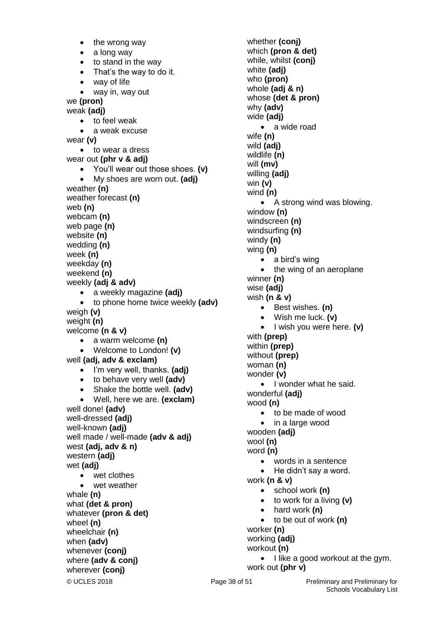© UCLES 2018 **Page 38 of 51** Preliminary and Preliminary for  $\bullet$  the wrong way • a long way to stand in the way • That's the way to do it. • way of life way in, way out we **(pron)** weak **(adj)** to feel weak a weak excuse wear **(v)** • to wear a dress wear out **(phr v & adj)**  You'll wear out those shoes. **(v)** My shoes are worn out. **(adj)** weather **(n)** weather forecast **(n)** web **(n)** webcam **(n)** web page **(n)** website **(n)** wedding **(n)** week **(n)** weekday **(n)** weekend **(n)** weekly **(adj & adv)** a weekly magazine **(adj)** to phone home twice weekly **(adv)** weigh **(v)** weight **(n)** welcome **(n & v)** a warm welcome **(n)** Welcome to London! **(v)** well **(adj, adv & exclam)** I'm very well, thanks. **(adj)** to behave very well **(adv)** Shake the bottle well. **(adv)** Well, here we are. **(exclam)** well done! **(adv)** well-dressed **(adj)** well-known **(adj)** well made / well-made **(adv & adj)** west **(adj, adv & n)** western **(adj)** wet **(adj)** • wet clothes wet weather whale **(n)** what **(det & pron)** whatever **(pron & det)** wheel **(n)** wheelchair **(n)** when **(adv)** whenever **(conj)** where **(adv & conj)** wherever **(conj)**

whether **(conj)** which **(pron & det)** while, whilst **(conj)** white **(adj)** who **(pron)** whole **(adj & n)** whose **(det & pron)** why **(adv)** wide **(adj)** • a wide road wife **(n)** wild **(adj)** wildlife **(n)** will **(mv)** willing **(adj)** win **(v)** wind **(n)**  • A strong wind was blowing. window **(n)** windscreen **(n)** windsurfing **(n)** windy **(n)** wing **(n)** • a bird's wing • the wing of an aeroplane winner **(n)** wise **(adj)** wish **(n & v)** Best wishes. **(n)** Wish me luck. **(v)** • I wish you were here. (v) with **(prep)** within **(prep)** without **(prep)** woman **(n)** wonder **(v)** • I wonder what he said. wonderful **(adj)** wood **(n)** • to be made of wood • in a large wood wooden **(adj)** wool **(n)** word **(n)** words in a sentence • He didn't say a word. work **(n & v)** school work **(n)** to work for a living **(v)** hard work **(n)** to be out of work **(n)** worker **(n)** working **(adj)** workout **(n)**  $\bullet$  I like a good workout at the gym. work out **(phr v)**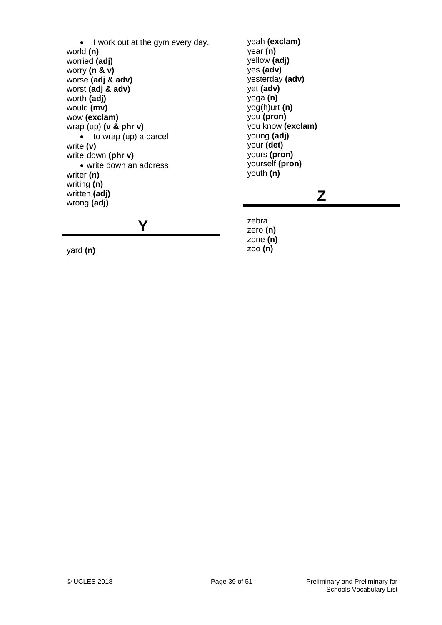• I work out at the gym every day. world **(n)** worried **(adj)** worry **(n & v)** worse **(adj & adv)** worst **(adj & adv)** worth **(adj)** would **(mv)** wow **(exclam)** wrap (up) **(v & phr v)**  $\bullet$  to wrap (up) a parcel write **(v)** write down **(phr v)** write down an address writer **(n)** writing **(n)** written **(adj)** wrong **(adj)**

**Y**

yeah **(exclam)** year **(n)** yellow **(adj)** yes **(adv)** yesterday **(adv)** yet **(adv)** yoga **(n)** yog(h)urt **(n)** you **(pron)** you know **(exclam)** young **(adj)** your **(det)** yours **(pron)** yourself **(pron)** youth **(n)**

### **Z**

zebra zero **(n)** zone **(n)** zoo **(n)**

yard **(n)**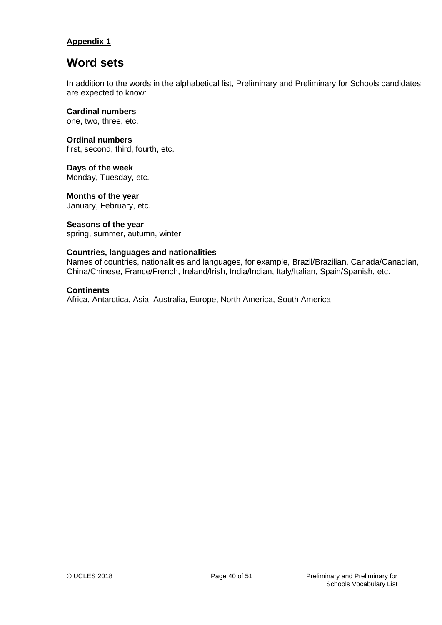### **Appendix 1**

### **Word sets**

In addition to the words in the alphabetical list, Preliminary and Preliminary for Schools candidates are expected to know:

**Cardinal numbers** one, two, three, etc.

**Ordinal numbers** first, second, third, fourth, etc.

**Days of the week** Monday, Tuesday, etc.

**Months of the year** January, February, etc.

### **Seasons of the year**

spring, summer, autumn, winter

### **Countries, languages and nationalities**

Names of countries, nationalities and languages, for example, Brazil/Brazilian, Canada/Canadian, China/Chinese, France/French, Ireland/Irish, India/Indian, Italy/Italian, Spain/Spanish, etc.

### **Continents**

Africa, Antarctica, Asia, Australia, Europe, North America, South America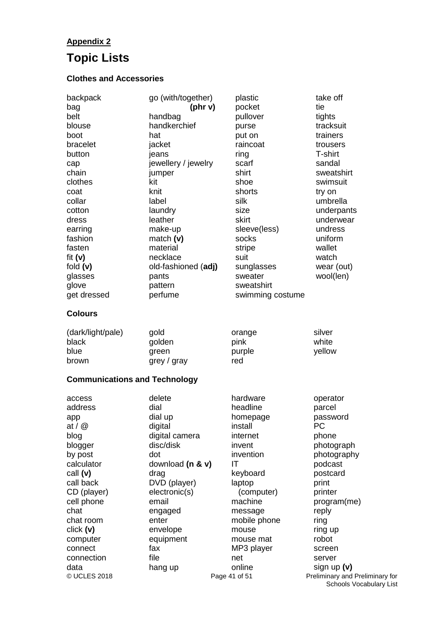### **Appendix 2**

## **Topic Lists**

### **Clothes and Accessories**

| backpack<br>bag<br>belt<br>blouse<br>boot<br>bracelet<br>button<br>cap<br>chain<br>clothes<br>coat<br>collar<br>cotton<br>dress<br>earring<br>fashion<br>fasten<br>fit $(v)$<br>fold $(v)$<br>glasses<br>glove<br>get dressed<br><b>Colours</b> | go (with/together)<br>(phr v)<br>handbag<br>handkerchief<br>hat<br>jacket<br>jeans<br>jewellery / jewelry<br>jumper<br>kit<br>knit<br>label<br>laundry<br>leather<br>make-up<br>match $(v)$<br>material<br>necklace<br>old-fashioned (adj)<br>pants<br>pattern<br>perfume | plastic<br>pocket<br>pullover<br>purse<br>put on<br>raincoat<br>ring<br>scarf<br>shirt<br>shoe<br>shorts<br>silk<br>size<br>skirt<br>sleeve(less)<br>socks<br>stripe<br>suit<br>sunglasses<br>sweater<br>sweatshirt<br>swimming costume | take off<br>tie<br>tights<br>tracksuit<br>trainers<br>trousers<br>T-shirt<br>sandal<br>sweatshirt<br>swimsuit<br>try on<br>umbrella<br>underpants<br>underwear<br>undress<br>uniform<br>wallet<br>watch<br>wear (out)<br>wool(len) |
|-------------------------------------------------------------------------------------------------------------------------------------------------------------------------------------------------------------------------------------------------|---------------------------------------------------------------------------------------------------------------------------------------------------------------------------------------------------------------------------------------------------------------------------|-----------------------------------------------------------------------------------------------------------------------------------------------------------------------------------------------------------------------------------------|------------------------------------------------------------------------------------------------------------------------------------------------------------------------------------------------------------------------------------|
| (dark/light/pale)                                                                                                                                                                                                                               | gold                                                                                                                                                                                                                                                                      | orange                                                                                                                                                                                                                                  | silver                                                                                                                                                                                                                             |
| black                                                                                                                                                                                                                                           | golden                                                                                                                                                                                                                                                                    | pink                                                                                                                                                                                                                                    | white                                                                                                                                                                                                                              |
| blue                                                                                                                                                                                                                                            | green                                                                                                                                                                                                                                                                     | purple                                                                                                                                                                                                                                  | yellow                                                                                                                                                                                                                             |
| brown                                                                                                                                                                                                                                           | grey / gray                                                                                                                                                                                                                                                               | red                                                                                                                                                                                                                                     |                                                                                                                                                                                                                                    |
| <b>Communications and Technology</b>                                                                                                                                                                                                            |                                                                                                                                                                                                                                                                           |                                                                                                                                                                                                                                         |                                                                                                                                                                                                                                    |
| access                                                                                                                                                                                                                                          | delete                                                                                                                                                                                                                                                                    | hardware                                                                                                                                                                                                                                | operator                                                                                                                                                                                                                           |
| address                                                                                                                                                                                                                                         | dial                                                                                                                                                                                                                                                                      | headline                                                                                                                                                                                                                                | parcel                                                                                                                                                                                                                             |
| app                                                                                                                                                                                                                                             | dial up                                                                                                                                                                                                                                                                   | homepage                                                                                                                                                                                                                                | password                                                                                                                                                                                                                           |
| at $/$ $\circledcirc$                                                                                                                                                                                                                           | digital                                                                                                                                                                                                                                                                   | install                                                                                                                                                                                                                                 | PC                                                                                                                                                                                                                                 |
| blog                                                                                                                                                                                                                                            | digital camera                                                                                                                                                                                                                                                            | internet                                                                                                                                                                                                                                | phone                                                                                                                                                                                                                              |
| blogger                                                                                                                                                                                                                                         | disc/disk                                                                                                                                                                                                                                                                 | invent                                                                                                                                                                                                                                  | photograph                                                                                                                                                                                                                         |
| by post                                                                                                                                                                                                                                         | dot                                                                                                                                                                                                                                                                       | invention                                                                                                                                                                                                                               | photography                                                                                                                                                                                                                        |
| calculator                                                                                                                                                                                                                                      | download (n & v)                                                                                                                                                                                                                                                          | IT                                                                                                                                                                                                                                      | podcast                                                                                                                                                                                                                            |
| call (v)                                                                                                                                                                                                                                        | drag                                                                                                                                                                                                                                                                      | keyboard                                                                                                                                                                                                                                | postcard                                                                                                                                                                                                                           |
| call back                                                                                                                                                                                                                                       | DVD (player)                                                                                                                                                                                                                                                              | laptop                                                                                                                                                                                                                                  | print                                                                                                                                                                                                                              |
| CD (player)                                                                                                                                                                                                                                     | electronic(s)                                                                                                                                                                                                                                                             | (computer)                                                                                                                                                                                                                              | printer                                                                                                                                                                                                                            |
| cell phone                                                                                                                                                                                                                                      | email                                                                                                                                                                                                                                                                     | machine                                                                                                                                                                                                                                 | program(me)                                                                                                                                                                                                                        |
| chat                                                                                                                                                                                                                                            | engaged                                                                                                                                                                                                                                                                   | message                                                                                                                                                                                                                                 | reply                                                                                                                                                                                                                              |
| chat room                                                                                                                                                                                                                                       | enter                                                                                                                                                                                                                                                                     | mobile phone                                                                                                                                                                                                                            | ring                                                                                                                                                                                                                               |
| click(y)                                                                                                                                                                                                                                        | envelope                                                                                                                                                                                                                                                                  | mouse                                                                                                                                                                                                                                   | ring up                                                                                                                                                                                                                            |
| computer                                                                                                                                                                                                                                        | equipment                                                                                                                                                                                                                                                                 | mouse mat                                                                                                                                                                                                                               | robot                                                                                                                                                                                                                              |
| connect                                                                                                                                                                                                                                         | fax                                                                                                                                                                                                                                                                       | MP3 player                                                                                                                                                                                                                              | screen                                                                                                                                                                                                                             |
| connection                                                                                                                                                                                                                                      | file                                                                                                                                                                                                                                                                      | net                                                                                                                                                                                                                                     | server                                                                                                                                                                                                                             |
| data                                                                                                                                                                                                                                            | hang up                                                                                                                                                                                                                                                                   | online                                                                                                                                                                                                                                  | sign up $(v)$                                                                                                                                                                                                                      |

© UCLES 2018 **Page 41 of 51** Preliminary and Preliminary for Schools Vocabulary List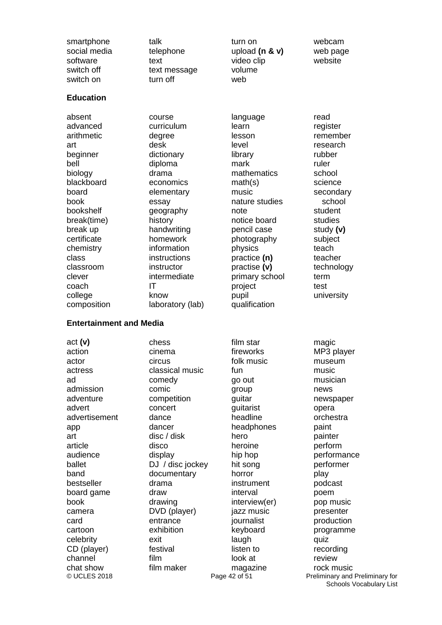smartphone social media software switch off switch on

talk telephone text text message turn off

turn on upload **(n & v)** video clip volume web

webcam web page website

#### **Education**

absent advanced arithmetic art beginner bell biology blackboard board book bookshelf break(time) break up certificate chemistry class classroom clever coach college composition course curriculum degree desk dictionary diploma drama economics elementary essay geography history handwriting homework information instructions instructor intermediate IT know laboratory (lab) language learn lesson level library mark mathematics math(s) music nature studies note notice board pencil case photography physics practice **(n)** practise **(v)** primary school project pupil qualification

read register remember research rubber ruler school science secondary school student studies study **(v)** subject teach teacher technology term test university

#### **Entertainment and Media**

act **(v)** action actor actress ad admission adventure advert advertisement app art article audience ballet band bestseller board game book camera card cartoon celebrity CD (player) channel chat show

chess cinema circus classical music comedy comic competition concert dance dancer disc / disk disco display DJ / disc jockey documentary drama draw drawing DVD (player) entrance exhibition exit festival film film maker

fireworks folk music fun go out group guitar guitarist headline headphones hero heroine hip hop hit song horror instrument interval interview(er) jazz music journalist keyboard laugh listen to look at magazine

film star

© UCLES 2018 **Page 42 of 51** Preliminary and Preliminary for Schools Vocabulary List magic MP3 player museum music musician news newspaper opera orchestra paint painter perform performance performer play podcast poem pop music presenter production programme quiz recording review rock music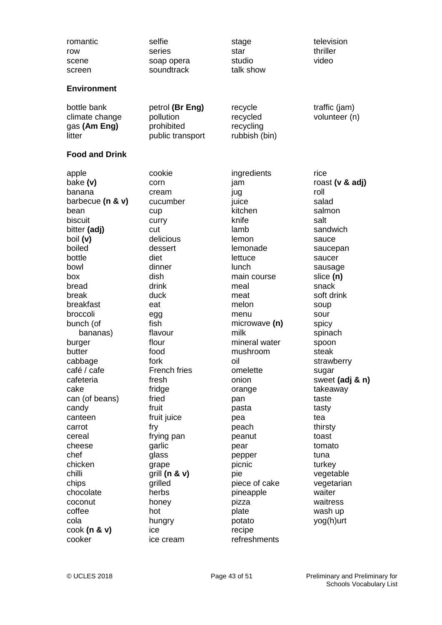| romantic<br>row<br>scene<br>screen                                                                                                                                                                                                                                                                                                                                                                                             | selfie<br>series<br>soap opera<br>soundtrack                                                                                                                                                                                                                                                                                                                                | stage<br>star<br>studio<br>talk show                                                                                                                                                                                                                                                                                                                                                       | television<br>thriller<br>video                                                                                                                                                                                                                                                                                                                                                                                    |
|--------------------------------------------------------------------------------------------------------------------------------------------------------------------------------------------------------------------------------------------------------------------------------------------------------------------------------------------------------------------------------------------------------------------------------|-----------------------------------------------------------------------------------------------------------------------------------------------------------------------------------------------------------------------------------------------------------------------------------------------------------------------------------------------------------------------------|--------------------------------------------------------------------------------------------------------------------------------------------------------------------------------------------------------------------------------------------------------------------------------------------------------------------------------------------------------------------------------------------|--------------------------------------------------------------------------------------------------------------------------------------------------------------------------------------------------------------------------------------------------------------------------------------------------------------------------------------------------------------------------------------------------------------------|
| <b>Environment</b>                                                                                                                                                                                                                                                                                                                                                                                                             |                                                                                                                                                                                                                                                                                                                                                                             |                                                                                                                                                                                                                                                                                                                                                                                            |                                                                                                                                                                                                                                                                                                                                                                                                                    |
| bottle bank<br>climate change<br>gas (Am Eng)<br>litter                                                                                                                                                                                                                                                                                                                                                                        | petrol (Br Eng)<br>pollution<br>prohibited<br>public transport                                                                                                                                                                                                                                                                                                              | recycle<br>recycled<br>recycling<br>rubbish (bin)                                                                                                                                                                                                                                                                                                                                          | traffic (jam)<br>volunteer (n)                                                                                                                                                                                                                                                                                                                                                                                     |
| <b>Food and Drink</b>                                                                                                                                                                                                                                                                                                                                                                                                          |                                                                                                                                                                                                                                                                                                                                                                             |                                                                                                                                                                                                                                                                                                                                                                                            |                                                                                                                                                                                                                                                                                                                                                                                                                    |
| apple<br>bake (v)<br>banana<br>barbecue $(n & v)$<br>bean<br>biscuit<br>bitter (adj)<br>boil (v)<br>boiled<br>bottle<br>bowl<br>box<br>bread<br>break<br>breakfast<br>broccoli<br>bunch (of<br>bananas)<br>burger<br>butter<br>cabbage<br>café / cafe<br>cafeteria<br>cake<br>can (of beans)<br>candy<br>canteen<br>carrot<br>cereal<br>cheese<br>chef<br>chicken<br>chilli<br>chips<br>chocolate<br>coconut<br>coffee<br>cola | cookie<br>corn<br>cream<br>cucumber<br>cup<br>curry<br>cut<br>delicious<br>dessert<br>diet<br>dinner<br>dish<br>drink<br>duck<br>eat<br>egg<br>fish<br>flavour<br>flour<br>food<br>fork<br>French fries<br>fresh<br>fridge<br>fried<br>fruit<br>fruit juice<br>fry<br>frying pan<br>garlic<br>glass<br>grape<br>grill (n & v)<br>grilled<br>herbs<br>honey<br>hot<br>hungry | ingredients<br>jam<br>jug<br>juice<br>kitchen<br>knife<br>lamb<br>lemon<br>lemonade<br>lettuce<br>lunch<br>main course<br>meal<br>meat<br>melon<br>menu<br>microwave (n)<br>milk<br>mineral water<br>mushroom<br>oil<br>omelette<br>onion<br>orange<br>pan<br>pasta<br>pea<br>peach<br>peanut<br>pear<br>pepper<br>picnic<br>pie<br>piece of cake<br>pineapple<br>pizza<br>plate<br>potato | rice<br>roast (v & adj)<br>roll<br>salad<br>salmon<br>salt<br>sandwich<br>sauce<br>saucepan<br>saucer<br>sausage<br>slice (n)<br>snack<br>soft drink<br>soup<br>sour<br>spicy<br>spinach<br>spoon<br>steak<br>strawberry<br>sugar<br>sweet (adj & n)<br>takeaway<br>taste<br>tasty<br>tea<br>thirsty<br>toast<br>tomato<br>tuna<br>turkey<br>vegetable<br>vegetarian<br>waiter<br>waitress<br>wash up<br>yog(h)urt |
| $\cosh(n \& v)$<br>cooker                                                                                                                                                                                                                                                                                                                                                                                                      | ice<br>ice cream                                                                                                                                                                                                                                                                                                                                                            | recipe<br>refreshments                                                                                                                                                                                                                                                                                                                                                                     |                                                                                                                                                                                                                                                                                                                                                                                                                    |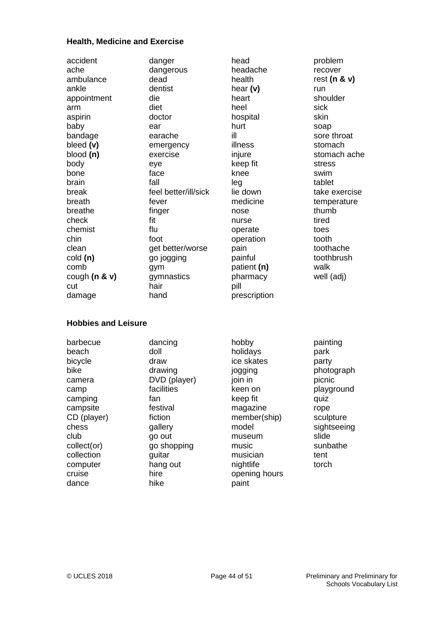### **Health, Medicine and Exercise**

| accident<br>ache<br>ambulance<br>ankle<br>appointment<br>arm<br>aspirin<br>baby<br>bandage<br>bleed (v) | danger<br>dangerous<br>dead<br>dentist<br>die<br>diet<br>doctor<br>ear<br>earache<br>emergency | head<br>headache<br>health<br>hear $(v)$<br>heart<br>heel<br>hospital<br>hurt<br>ill<br>illness | problem<br>recover<br>rest ( $n$ & $v$ )<br>run<br>shoulder<br>sick<br>skin<br>soap<br>sore throat<br>stomach |
|---------------------------------------------------------------------------------------------------------|------------------------------------------------------------------------------------------------|-------------------------------------------------------------------------------------------------|---------------------------------------------------------------------------------------------------------------|
| blood(n)                                                                                                | exercise                                                                                       | injure                                                                                          | stomach ache                                                                                                  |
| body<br>bone                                                                                            | eye<br>face                                                                                    | keep fit<br>knee                                                                                | stress<br>swim                                                                                                |
| brain                                                                                                   | fall                                                                                           | leg                                                                                             | tablet                                                                                                        |
| break                                                                                                   | feel better/ill/sick                                                                           | lie down                                                                                        | take exercise                                                                                                 |
| breath                                                                                                  | fever                                                                                          | medicine                                                                                        | temperature                                                                                                   |
| breathe                                                                                                 | finger                                                                                         | nose                                                                                            | thumb                                                                                                         |
| check<br>chemist                                                                                        | fit<br>flu                                                                                     | nurse<br>operate                                                                                | tired<br>toes                                                                                                 |
| chin                                                                                                    | foot                                                                                           | operation                                                                                       | tooth                                                                                                         |
| clean                                                                                                   | get better/worse                                                                               | pain                                                                                            | toothache                                                                                                     |
| cold (n)                                                                                                | go jogging                                                                                     | painful                                                                                         | toothbrush                                                                                                    |
| comb                                                                                                    | gym                                                                                            | patient (n)                                                                                     | walk                                                                                                          |
| cough $(n & v)$                                                                                         | gymnastics                                                                                     | pharmacy                                                                                        | well (adj)                                                                                                    |
| cut<br>damage                                                                                           | hair<br>hand                                                                                   | pill<br>prescription                                                                            |                                                                                                               |
|                                                                                                         |                                                                                                |                                                                                                 |                                                                                                               |
| <b>Hobbies and Leisure</b>                                                                              |                                                                                                |                                                                                                 |                                                                                                               |
| barbecue                                                                                                | dancing                                                                                        | hobby                                                                                           | painting                                                                                                      |
| beach                                                                                                   | doll                                                                                           | holidays                                                                                        | park                                                                                                          |
| bicycle                                                                                                 | draw                                                                                           | ice skates                                                                                      | party                                                                                                         |
| bike                                                                                                    | drawing                                                                                        | jogging                                                                                         | photograph                                                                                                    |
| camera                                                                                                  | DVD (player)                                                                                   | join in                                                                                         | picnic                                                                                                        |
| camp<br>camping                                                                                         | facilities<br>fan                                                                              | keen on<br>keep fit                                                                             | playground<br>quiz                                                                                            |
| campsite                                                                                                | festival                                                                                       | magazine                                                                                        | rope                                                                                                          |
| CD (player)                                                                                             | fiction                                                                                        | member(ship)                                                                                    | sculpture                                                                                                     |
| chess                                                                                                   | gallery                                                                                        | model                                                                                           | sightseeing                                                                                                   |
| club                                                                                                    | go out                                                                                         | museum                                                                                          | slide                                                                                                         |
| collect(or)                                                                                             | go shopping                                                                                    | music                                                                                           | sunbathe                                                                                                      |
| collection                                                                                              |                                                                                                |                                                                                                 |                                                                                                               |
|                                                                                                         | guitar                                                                                         | musician                                                                                        | tent                                                                                                          |
| computer<br>cruise                                                                                      | hang out<br>hire                                                                               | nightlife<br>opening hours                                                                      | torch                                                                                                         |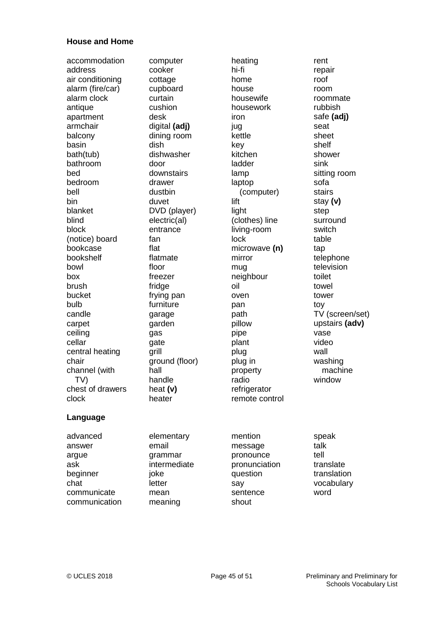#### **House and Home**

accommodation address air conditioning alarm (fire/car) alarm clock antique apartment armchair balcony basin bath(tub) bathroom bed bedroom bell bin blanket blind block (notice) board bookcase bookshelf bowl box brush bucket bulb candle carpet ceiling cellar central heating chair channel (with TV) chest of drawers clock

computer cooker cottage cupboard curtain cushion desk digital **(adj)** dining room dish dishwasher door downstairs drawer dustbin duvet DVD (player) electric(al) entrance fan flat flatmate floor freezer fridge frying pan furniture garage garden gas gate grill ground (floor) hall handle heat **(v)** heater

heating hi-fi home house housewife housework iron jug kettle key kitchen ladder lamp laptop (computer) lift light (clothes) line living-room lock microwave **(n)** mirror mug neighbour oil oven pan path pillow pipe plant plug plug in property radio refrigerator remote control

rent repair roof room roommate rubbish safe **(adj)** seat sheet shelf shower sink sitting room sofa stairs stay **(v)** step surround switch table tap telephone television toilet towel tower toy TV (screen/set) upstairs **(adv)** vase video wall washing machine window

### **Language**

advanced answer argue ask beginner chat communicate communication

elementary email grammar intermediate joke **letter** mean meaning

mention message pronounce pronunciation question say sentence shout

speak talk tell translate translation vocabulary word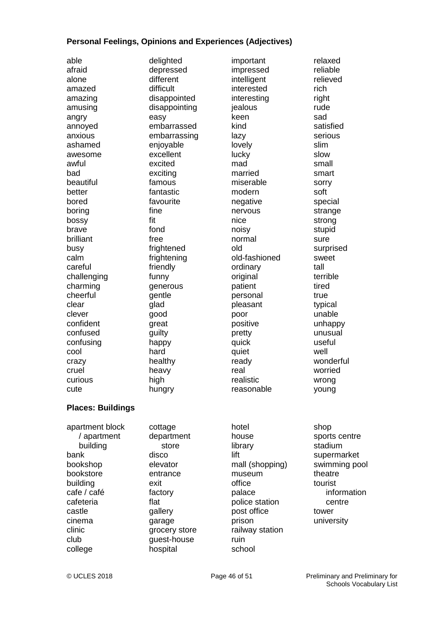#### **Personal Feelings, Opinions and Experiences (Adjectives)**

| able             |
|------------------|
| afraid           |
| alone            |
| amazed           |
| amazing          |
| amusing          |
| angry            |
| annoyed          |
| anxious          |
| ashamed          |
| awesome          |
| awful            |
| bad              |
| beautiful        |
| better           |
| bored            |
| boring           |
| bossy            |
| brave            |
| brilliant        |
| busy             |
| calm             |
| careful          |
| challenging      |
| charming         |
| cheerful         |
| clear            |
| clever           |
| confident        |
| confused         |
| confusing        |
| cool             |
| crazy            |
| cruel<br>curious |
| cute             |
|                  |
|                  |

delighted depressed different difficult disappointed disappointing easy embarrassed embarrassing enjoyable excellent excited exciting famous fantastic favourite fine fit fond free frightened frightening friendly funny generous gentle glad good great guilty happy hard healthy heavy high hungry

important impressed intelligent interested interesting jealous keen kind lazy lovely lucky mad married miserable modern negative nervous nice noisy normal old old-fashioned ordinary original patient personal pleasant poor positive pretty quick quiet ready real realistic reasonable

relaxed reliable relieved rich right rude sad satisfied serious slim slow small smart sorry soft special strange strong stupid sure surprised sweet tall terrible tired true typical unable unhappy unusual useful well wonderful worried wrong young

#### **Places: Buildings**

apartment block / apartment building bank bookshop bookstore building cafe / café cafeteria castle cinema clinic club college

cottage department store disco elevator entrance exit factory flat gallery garage grocery store guest-house hospital

hotel house library lift mall (shopping) museum office palace police station post office prison railway station ruin school

#### shop sports centre stadium supermarket swimming pool theatre tourist information centre tower university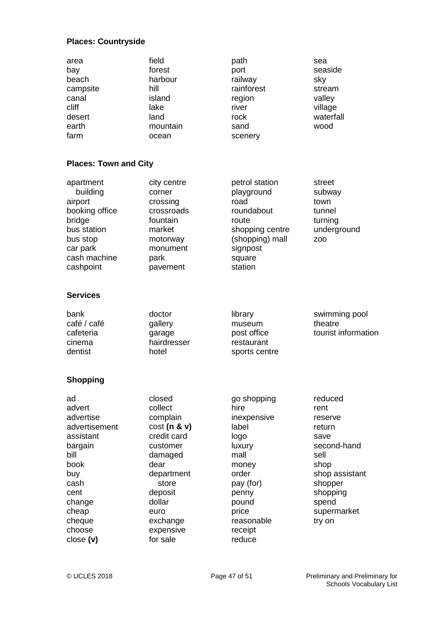### **Places: Countryside**

| area<br>bay<br>beach<br>campsite<br>canal<br>cliff<br>desert<br>earth<br>farm                                                                                | field<br>forest<br>harbour<br>hill<br>island<br>lake<br>land<br>mountain<br>ocean                                                                                                   | path<br>port<br>railway<br>rainforest<br>region<br>river<br>rock<br>sand<br>scenery                                                                                | sea<br>seaside<br>sky<br>stream<br>valley<br>village<br>waterfall<br>wood                                                                              |
|--------------------------------------------------------------------------------------------------------------------------------------------------------------|-------------------------------------------------------------------------------------------------------------------------------------------------------------------------------------|--------------------------------------------------------------------------------------------------------------------------------------------------------------------|--------------------------------------------------------------------------------------------------------------------------------------------------------|
| <b>Places: Town and City</b>                                                                                                                                 |                                                                                                                                                                                     |                                                                                                                                                                    |                                                                                                                                                        |
| apartment<br>building<br>airport<br>booking office<br>bridge<br>bus station<br>bus stop<br>car park<br>cash machine<br>cashpoint                             | city centre<br>corner<br>crossing<br>crossroads<br>fountain<br>market<br>motorway<br>monument<br>park<br>pavement                                                                   | petrol station<br>playground<br>road<br>roundabout<br>route<br>shopping centre<br>(shopping) mall<br>signpost<br>square<br>station                                 | street<br>subway<br>town<br>tunnel<br>turning<br>underground<br>Z <sub>O</sub> O                                                                       |
| <b>Services</b>                                                                                                                                              |                                                                                                                                                                                     |                                                                                                                                                                    |                                                                                                                                                        |
| bank<br>café / café<br>cafeteria<br>cinema<br>dentist                                                                                                        | doctor<br>gallery<br>garage<br>hairdresser<br>hotel                                                                                                                                 | library<br>museum<br>post office<br>restaurant<br>sports centre                                                                                                    | swimming pool<br>theatre<br>tourist information                                                                                                        |
| <b>Shopping</b>                                                                                                                                              |                                                                                                                                                                                     |                                                                                                                                                                    |                                                                                                                                                        |
| ad<br>advert<br>advertise<br>advertisement<br>assistant<br>bargain<br>bill<br>book<br>buy<br>cash<br>cent<br>change<br>cheap<br>cheque<br>choose<br>close(v) | closed<br>collect<br>complain<br>cost(n & v)<br>credit card<br>customer<br>damaged<br>dear<br>department<br>store<br>deposit<br>dollar<br>euro<br>exchange<br>expensive<br>for sale | go shopping<br>hire<br>inexpensive<br>label<br>logo<br>luxury<br>mall<br>money<br>order<br>pay (for)<br>penny<br>pound<br>price<br>reasonable<br>receipt<br>reduce | reduced<br>rent<br>reserve<br>return<br>save<br>second-hand<br>sell<br>shop<br>shop assistant<br>shopper<br>shopping<br>spend<br>supermarket<br>try on |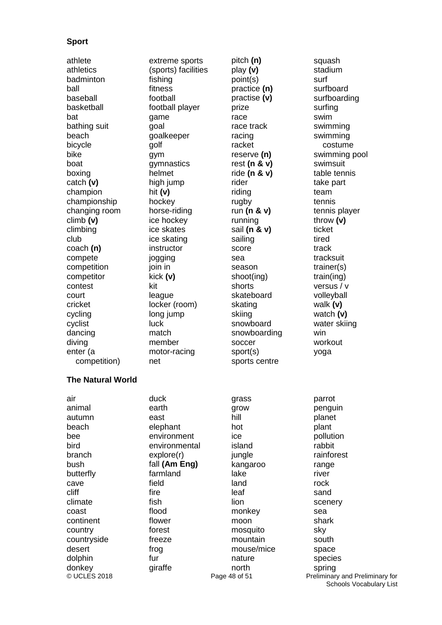### **Sport**

athlete athletics badminton ball baseball basketball bat bathing suit beach bicycle bike boat boxing catch **(v)** champion championship changing room climb **(v)** climbing club coach **(n)** compete competition competitor contest court cricket cycling cyclist dancing diving enter (a competition)

**The Natural World**

air animal autumn beach bee bird branch bush butterfly cave cliff climate coast continent country countryside desert dolphin donkey

extreme sports (sports) facilities fishing fitness football football player game goal goalkeeper golf gym gymnastics helmet high jump hit **(v)** hockey horse-riding ice hockey ice skates ice skating instructor jogging join in kick **(v)** kit league locker (room) long jump luck match member motor-racing net

duck earth east elephant environment environmental explore(r) fall **(Am Eng)** farmland field fire fish flood flower forest freeze frog fur giraffe

pitch **(n)** play **(v)** point(s) practice **(n)** practise **(v)** prize race race track racing racket reserve **(n)** rest **(n & v)** ride **(n & v)** rider riding rugby run **(n & v)** running sail **(n & v)** sailing score sea season shoot(ing) shorts skateboard skating skiing snowboard snowboarding soccer sport(s) sports centre

grass grow hill hot ice island jungle kangaroo lake land leaf lion monkey moon mosquito mountain mouse/mice nature north

squash stadium surf surfboard surfboarding surfing swim swimming swimming costume swimming pool swimsuit table tennis take part team tennis tennis player throw **(v)** ticket tired track tracksuit trainer(s) train(ing) versus / v volleyball walk **(v)** watch **(v)**  water skiing win workout yoga parrot penguin planet plant pollution rabbit rainforest range river rock sand scenery sea shark sky

south space species spring

#### © UCLES 2018 **Page 48 of 51** Preliminary and Preliminary for Schools Vocabulary List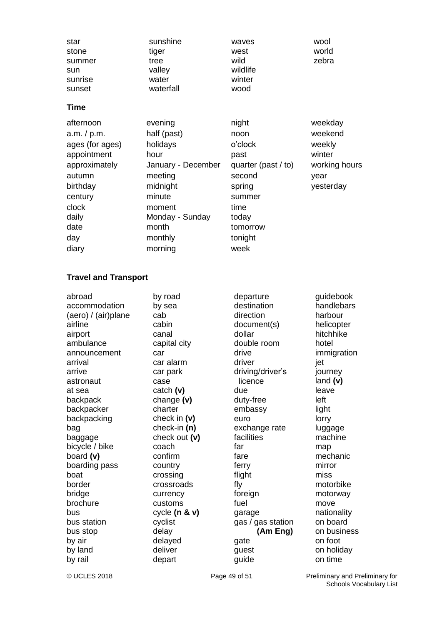| star    | sunshine  | waves    | wool  |
|---------|-----------|----------|-------|
| stone   | tiger     | west     | world |
| summer  | tree      | wild     | zebra |
| sun     | valley    | wildlife |       |
| sunrise | water     | winter   |       |
| sunset  | waterfall | wood     |       |

### **Time**

| afternoon       | evening            | night                 | weekday       |
|-----------------|--------------------|-----------------------|---------------|
| a.m. / p.m.     | half (past)        | noon                  | weekend       |
| ages (for ages) | holidays           | o'clock               | weekly        |
| appointment     | hour               | past                  | winter        |
| approximately   | January - December | quarter (past $/$ to) | working hours |
| autumn          | meeting            | second                | year          |
| birthday        | midnight           | spring                | yesterday     |
| century         | minute             | summer                |               |
| clock           | moment             | time                  |               |
| daily           | Monday - Sunday    | today                 |               |
| date            | month              | tomorrow              |               |
| day             | monthly            | tonight               |               |
| diary           | morning            | week                  |               |

### **Travel and Transport**

| abroad              | by road         | departure         | guidebook   |
|---------------------|-----------------|-------------------|-------------|
| accommodation       | by sea          | destination       | handlebars  |
| (aero) / (air)plane | cab             | direction         | harbour     |
| airline             | cabin           | document(s)       | helicopter  |
| airport             | canal           | dollar            | hitchhike   |
| ambulance           | capital city    | double room       | hotel       |
| announcement        | car             | drive             | immigration |
| arrival             | car alarm       | driver            | jet         |
| arrive              | car park        | driving/driver's  | journey     |
| astronaut           | case            | licence           | land (v)    |
| at sea              | catch $(v)$     | due               | leave       |
| backpack            | change $(v)$    | duty-free         | left        |
| backpacker          | charter         | embassy           | light       |
| backpacking         | check in $(v)$  | euro              | lorry       |
| bag                 | check-in $(n)$  | exchange rate     | luggage     |
| baggage             | check out (v)   | facilities        | machine     |
| bicycle / bike      | coach           | far               | map         |
| board (v)           | confirm         | fare              | mechanic    |
| boarding pass       | country         | ferry             | mirror      |
| boat                | crossing        | flight            | miss        |
| border              | crossroads      | fly               | motorbike   |
| bridge              | currency        | foreign           | motorway    |
| brochure            | customs         | fuel              | move        |
| bus                 | cycle $(n & v)$ | garage            | nationality |
| bus station         | cyclist         | gas / gas station | on board    |
| bus stop            | delay           | (Am Eng)          | on business |
| by air              | delayed         | gate              | on foot     |
| by land             | deliver         | guest             | on holiday  |
| by rail             | depart          | guide             | on time     |

© UCLES 2018 **Page 49 of 51** Preliminary and Preliminary for Schools Vocabulary List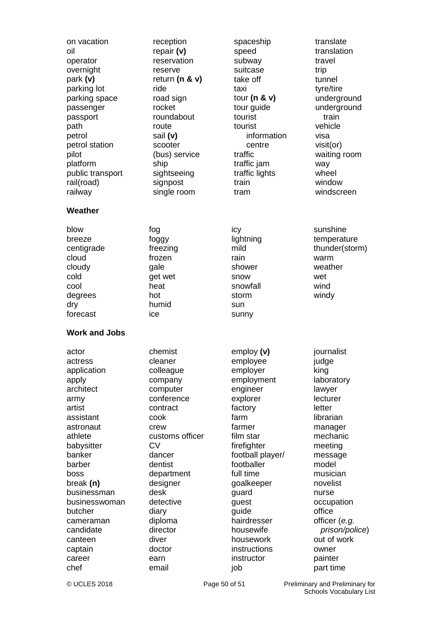| on vacation                                                                                   | reception                                                                            | spaceship                                                                               | translate                                                                            |
|-----------------------------------------------------------------------------------------------|--------------------------------------------------------------------------------------|-----------------------------------------------------------------------------------------|--------------------------------------------------------------------------------------|
| oil                                                                                           | repair $(v)$                                                                         | speed                                                                                   | translation                                                                          |
| operator                                                                                      | reservation                                                                          | subway                                                                                  | travel                                                                               |
| overnight                                                                                     | reserve                                                                              | suitcase                                                                                | trip                                                                                 |
| park (v)                                                                                      | return ( $n$ & $v$ )                                                                 | take off                                                                                | tunnel                                                                               |
| parking lot                                                                                   | ride                                                                                 | taxi                                                                                    | tyre/tire                                                                            |
| parking space                                                                                 | road sign                                                                            | tour ( $n \& v$ )                                                                       | underground                                                                          |
| passenger                                                                                     | rocket                                                                               | tour guide                                                                              | underground                                                                          |
| passport                                                                                      | roundabout                                                                           | tourist                                                                                 | train                                                                                |
| path                                                                                          | route                                                                                | tourist                                                                                 | vehicle                                                                              |
| petrol                                                                                        | sail (v)                                                                             | information                                                                             | visa                                                                                 |
| petrol station                                                                                | scooter                                                                              | centre                                                                                  | $visit($ or $)$                                                                      |
| pilot                                                                                         | (bus) service                                                                        | traffic                                                                                 | waiting room                                                                         |
| platform                                                                                      | ship                                                                                 | traffic jam                                                                             | way                                                                                  |
| public transport                                                                              | sightseeing                                                                          | traffic lights                                                                          | wheel                                                                                |
| rail(road)                                                                                    | signpost                                                                             | train                                                                                   | window                                                                               |
| railway                                                                                       | single room                                                                          | tram                                                                                    | windscreen                                                                           |
| Weather                                                                                       |                                                                                      |                                                                                         |                                                                                      |
| blow<br>breeze<br>centigrade<br>cloud<br>cloudy<br>cold<br>cool<br>degrees<br>dry<br>forecast | fog<br>foggy<br>freezing<br>frozen<br>gale<br>get wet<br>heat<br>hot<br>humid<br>ice | icy<br>lightning<br>mild<br>rain<br>shower<br>snow<br>snowfall<br>storm<br>sun<br>sunny | sunshine<br>temperature<br>thunder(storm)<br>warm<br>weather<br>wet<br>wind<br>windy |
| <b>Work and Jobs</b>                                                                          |                                                                                      |                                                                                         |                                                                                      |
| actress                                                                                       | cleaner                                                                              | employee                                                                                | judge                                                                                |
| application                                                                                   | colleague                                                                            | employer                                                                                | king                                                                                 |
| apply                                                                                         | company                                                                              | employment                                                                              | laboratory                                                                           |
| architect                                                                                     | computer                                                                             | engineer                                                                                | lawyer                                                                               |
| army                                                                                          | conference                                                                           | explorer                                                                                | lecturer                                                                             |
| artist                                                                                        | contract                                                                             | factory                                                                                 | letter                                                                               |
| assistant                                                                                     | cook                                                                                 | farm                                                                                    | librarian                                                                            |
| astronaut                                                                                     | crew                                                                                 | farmer                                                                                  | manager                                                                              |
| athlete                                                                                       | customs officer                                                                      | film star                                                                               | mechanic                                                                             |
| babysitter                                                                                    | <b>CV</b>                                                                            | firefighter                                                                             | meeting                                                                              |
| banker                                                                                        | dancer                                                                               | football player/                                                                        | message                                                                              |
| barber                                                                                        | dentist                                                                              | footballer                                                                              | model                                                                                |
| boss                                                                                          | department                                                                           | full time                                                                               | musician                                                                             |
| break $(n)$                                                                                   | designer                                                                             | goalkeeper                                                                              | novelist                                                                             |
| businessman                                                                                   | desk                                                                                 | guard                                                                                   | nurse                                                                                |
| businesswoman                                                                                 | detective                                                                            | guest                                                                                   | occupation                                                                           |
| butcher                                                                                       | diary                                                                                | guide                                                                                   | office                                                                               |
| cameraman                                                                                     | diploma                                                                              | hairdresser                                                                             | officer (e.g.                                                                        |
| candidate                                                                                     | director                                                                             | housewife                                                                               | prison/police)                                                                       |
| canteen                                                                                       | diver                                                                                | housework                                                                               | out of work                                                                          |
| captain                                                                                       | doctor                                                                               | instructions                                                                            | owner                                                                                |
| career                                                                                        | earn                                                                                 | instructor                                                                              | painter                                                                              |
| chef                                                                                          | email                                                                                | job                                                                                     | part time                                                                            |